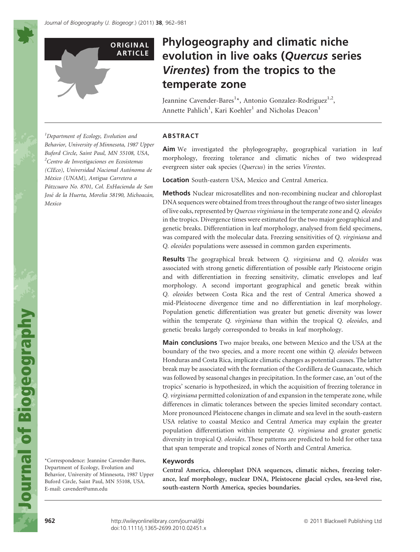

# Phylogeography and climatic niche evolution in live oaks (Quercus series Virentes) from the tropics to the temperate zone

Jeannine Cavender-Bares<sup>1</sup>\*, Antonio Gonzalez-Rodriguez<sup>1,2</sup>, Annette Pahlich<sup>1</sup>, Kari Koehler<sup>1</sup> and Nicholas Deacon<sup>1</sup>

<sup>1</sup>Department of Ecology, Evolution and Behavior, University of Minnesota, 1987 Upper Buford Circle, Saint Paul, MN 55108, USA, <sup>2</sup>Centro de Investigaciones en Ecosistemas (CIEco), Universidad Nacional Autónoma de México (UNAM), Antigua Carretera a Pátzcuaro No. 8701, Col. ExHacienda de San José de la Huerta, Morelia 58190, Michoacán, Mexico

# ABSTRACT

Aim We investigated the phylogeography, geographical variation in leaf morphology, freezing tolerance and climatic niches of two widespread evergreen sister oak species (Quercus) in the series Virentes.

Location South-eastern USA, Mexico and Central America.

Methods Nuclear microsatellites and non-recombining nuclear and chloroplast DNA sequences were obtained from trees throughout the range of two sister lineages of live oaks, represented by Quercus virginiana in the temperate zone and Q. oleoides in the tropics. Divergence times were estimated for the two major geographical and genetic breaks. Differentiation in leaf morphology, analysed from field specimens, was compared with the molecular data. Freezing sensitivities of Q. virginiana and Q. oleoides populations were assessed in common garden experiments.

Results The geographical break between Q. virginiana and Q. oleoides was associated with strong genetic differentiation of possible early Pleistocene origin and with differentiation in freezing sensitivity, climatic envelopes and leaf morphology. A second important geographical and genetic break within Q. oleoides between Costa Rica and the rest of Central America showed a mid-Pleistocene divergence time and no differentiation in leaf morphology. Population genetic differentiation was greater but genetic diversity was lower within the temperate Q. virginiana than within the tropical Q. oleoides, and genetic breaks largely corresponded to breaks in leaf morphology.

Main conclusions Two major breaks, one between Mexico and the USA at the boundary of the two species, and a more recent one within Q. oleoides between Honduras and Costa Rica, implicate climatic changes as potential causes. The latter break may be associated with the formation of the Cordillera de Guanacaste, which was followed by seasonal changes in precipitation. In the former case, an 'out of the tropics' scenario is hypothesized, in which the acquisition of freezing tolerance in Q. virginiana permitted colonization of and expansion in the temperate zone, while differences in climatic tolerances between the species limited secondary contact. More pronounced Pleistocene changes in climate and sea level in the south-eastern USA relative to coastal Mexico and Central America may explain the greater population differentiation within temperate Q. virginiana and greater genetic diversity in tropical Q. oleoides. These patterns are predicted to hold for other taxa that span temperate and tropical zones of North and Central America.

#### Keywords

Central America, chloroplast DNA sequences, climatic niches, freezing tolerance, leaf morphology, nuclear DNA, Pleistocene glacial cycles, sea-level rise, south-eastern North America, species boundaries.

\*Correspondence: Jeannine Cavender-Bares, Department of Ecology, Evolution and Behavior, University of Minnesota, 1987 Upper Buford Circle, Saint Paul, MN 55108, USA. E-mail: cavender@umn.edu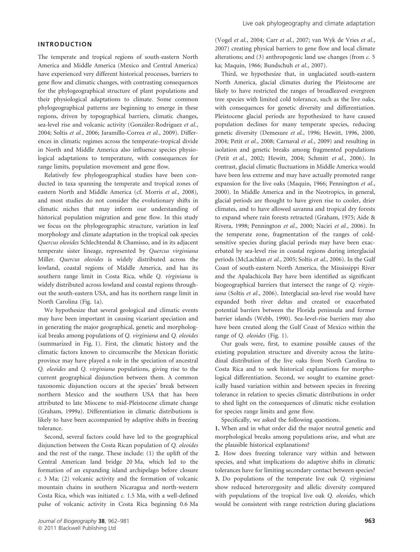INTRODUCTION

The temperate and tropical regions of south-eastern North America and Middle America (Mexico and Central America) have experienced very different historical processes, barriers to gene flow and climatic changes, with contrasting consequences for the phylogeographical structure of plant populations and their physiological adaptations to climate. Some common phylogeographical patterns are beginning to emerge in these regions, driven by topographical barriers, climatic changes, sea-level rise and volcanic activity (González-Rodríguez et al., 2004; Soltis et al., 2006; Jaramillo-Correa et al., 2009). Differences in climatic regimes across the temperate–tropical divide in North and Middle America also influence species physiological adaptations to temperature, with consequences for range limits, population movement and gene flow.

Relatively few phylogeographical studies have been conducted in taxa spanning the temperate and tropical zones of eastern North and Middle America (cf. Morris et al., 2008), and most studies do not consider the evolutionary shifts in climatic niches that may inform our understanding of historical population migration and gene flow. In this study we focus on the phylogeographic structure, variation in leaf morphology and climate adaptation in the tropical oak species Quercus oleoides Schlechtendal & Chamisso, and in its adjacent temperate sister lineage, represented by Quercus virginiana Miller. Quercus oleoides is widely distributed across the lowland, coastal regions of Middle America, and has its southern range limit in Costa Rica, while Q. virginiana is widely distributed across lowland and coastal regions throughout the south-eastern USA, and has its northern range limit in North Carolina (Fig. 1a).

We hypothesize that several geological and climatic events may have been important in causing vicariant speciation and in generating the major geographical, genetic and morphological breaks among populations of Q. virginiana and Q. oleoides (summarized in Fig. 1). First, the climatic history and the climatic factors known to circumscribe the Mexican floristic province may have played a role in the speciation of ancestral Q. oleoides and Q. virginiana populations, giving rise to the current geographical disjunction between them. A common taxonomic disjunction occurs at the species' break between northern Mexico and the southern USA that has been attributed to late Miocene to mid-Pleistocene climate change (Graham, 1999a). Differentiation in climatic distributions is likely to have been accompanied by adaptive shifts in freezing tolerance.

Second, several factors could have led to the geographical disjunction between the Costa Rican population of Q. oleoides and the rest of the range. These include: (1) the uplift of the Central American land bridge 20 Ma, which led to the formation of an expanding island archipelago before closure c. 3 Ma; (2) volcanic activity and the formation of volcanic mountain chains in southern Nicaragua and north-western Costa Rica, which was initiated c. 1.5 Ma, with a well-defined pulse of volcanic activity in Costa Rica beginning 0.6 Ma

(Vogel et al., 2004; Carr et al., 2007; van Wyk de Vries et al., 2007) creating physical barriers to gene flow and local climate alterations; and  $(3)$  anthropogenic land use changes (from c. 5) ka; Maquin, 1966; Bundschuh et al., 2007).

Third, we hypothesize that, in unglaciated south-eastern North America, glacial climates during the Pleistocene are likely to have restricted the ranges of broadleaved evergreen tree species with limited cold tolerance, such as the live oaks, with consequences for genetic diversity and differentiation. Pleistocene glacial periods are hypothesized to have caused population declines for many temperate species, reducing genetic diversity (Demesure et al., 1996; Hewitt, 1996, 2000, 2004; Petit et al., 2008; Carnaval et al., 2009) and resulting in isolation and genetic breaks among fragmented populations (Petit et al., 2002; Hewitt, 2004; Schmitt et al., 2006). In contrast, glacial climatic fluctuations in Middle America would have been less extreme and may have actually promoted range expansion for the live oaks (Maquin, 1966; Pennington et al., 2000). In Middle America and in the Neotropics, in general, glacial periods are thought to have given rise to cooler, drier climates, and to have allowed savanna and tropical dry forests to expand where rain forests retracted (Graham, 1975; Aide & Rivera, 1998; Pennington et al., 2000; Naciri et al., 2006). In the temperate zone, fragmentation of the ranges of coldsensitive species during glacial periods may have been exacerbated by sea-level rise in coastal regions during interglacial periods (McLachlan et al., 2005; Soltis et al., 2006). In the Gulf Coast of south-eastern North America, the Mississippi River and the Apalachicola Bay have been identified as significant biogeographical barriers that intersect the range of Q. virginiana (Soltis et al., 2006). Interglacial sea-level rise would have expanded both river deltas and created or exacerbated potential barriers between the Florida peninsula and former barrier islands (Webb, 1990). Sea-level-rise barriers may also have been created along the Gulf Coast of Mexico within the range of Q. oleoides (Fig. 1).

Our goals were, first, to examine possible causes of the existing population structure and diversity across the latitudinal distribution of the live oaks from North Carolina to Costa Rica and to seek historical explanations for morphological differentiation. Second, we sought to examine genetically based variation within and between species in freezing tolerance in relation to species climatic distributions in order to shed light on the consequences of climatic niche evolution for species range limits and gene flow.

Specifically, we asked the following questions.

1. When and in what order did the major neutral genetic and morphological breaks among populations arise, and what are the plausible historical explanations?

2. How does freezing tolerance vary within and between species, and what implications do adaptive shifts in climatic tolerances have for limiting secondary contact between species? 3. Do populations of the temperate live oak Q. virginiana show reduced heterozygosity and allelic diversity compared with populations of the tropical live oak Q. oleoides, which would be consistent with range restriction during glaciations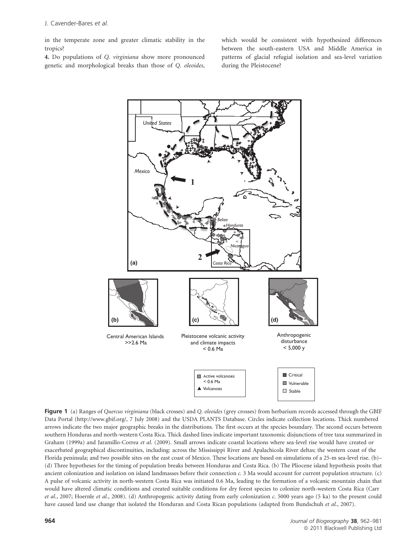in the temperate zone and greater climatic stability in the tropics?

4. Do populations of Q. virginiana show more pronounced genetic and morphological breaks than those of Q. oleoides, which would be consistent with hypothesized differences between the south-eastern USA and Middle America in patterns of glacial refugial isolation and sea-level variation during the Pleistocene?



Figure 1 (a) Ranges of Quercus virginiana (black crosses) and Q. oleoides (grey crosses) from herbarium records accessed through the GBIF Data Portal (http://www.gbif.org/, 7 July 2008) and the USDA PLANTS Database. Circles indicate collection locations. Thick numbered arrows indicate the two major geographic breaks in the distributions. The first occurs at the species boundary. The second occurs between southern Honduras and north-western Costa Rica. Thick dashed lines indicate important taxonomic disjunctions of tree taxa summarized in Graham (1999a) and Jaramillo-Correa et al. (2009). Small arrows indicate coastal locations where sea-level rise would have created or exacerbated geographical discontinuities, including: across the Mississippi River and Apalachicola River deltas; the western coast of the Florida peninsula; and two possible sites on the east coast of Mexico. These locations are based on simulations of a 25-m sea-level rise. (b)– (d) Three hypotheses for the timing of population breaks between Honduras and Costa Rica. (b) The Pliocene island hypothesis posits that ancient colonization and isolation on island landmasses before their connection c. 3 Ma would account for current population structure. (c) A pulse of volcanic activity in north-western Costa Rica was initiated 0.6 Ma, leading to the formation of a volcanic mountain chain that would have altered climatic conditions and created suitable conditions for dry forest species to colonize north-western Costa Rica (Carr et al., 2007; Hoernle et al., 2008). (d) Anthropogenic activity dating from early colonization c. 5000 years ago (5 ka) to the present could have caused land use change that isolated the Honduran and Costa Rican populations (adapted from Bundschuh et al., 2007).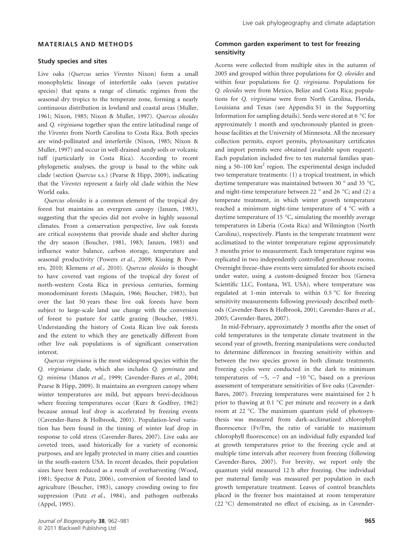#### MATERIALS AND METHODS

#### Study species and sites

Live oaks (Quercus series Virentes Nixon) form a small monophyletic lineage of interfertile oaks (seven putative species) that spans a range of climatic regimes from the seasonal dry tropics to the temperate zone, forming a nearly continuous distribution in lowland and coastal areas (Muller, 1961; Nixon, 1985; Nixon & Muller, 1997). Quercus oleoides and Q. virginiana together span the entire latitudinal range of the Virentes from North Carolina to Costa Rica. Both species are wind-pollinated and interfertile (Nixon, 1985; Nixon & Muller, 1997) and occur in well-drained sandy soils or volcanic tuff (particularly in Costa Rica). According to recent phylogenetic analyses, the group is basal to the white oak clade (section Quercus s.s.) (Pearse & Hipp, 2009), indicating that the Virentes represent a fairly old clade within the New World oaks.

Quercus oleoides is a common element of the tropical dry forest but maintains an evergreen canopy (Janzen, 1983), suggesting that the species did not evolve in highly seasonal climates. From a conservation perspective, live oak forests are critical ecosystems that provide shade and shelter during the dry season (Boucher, 1981, 1983; Janzen, 1983) and influence water balance, carbon storage, temperature and seasonal productivity (Powers et al., 2009; Kissing & Powers, 2010; Klemens et al., 2010). Quercus oleoides is thought to have covered vast regions of the tropical dry forest of north-western Costa Rica in previous centuries, forming monodominant forests (Maquin, 1966; Boucher, 1983), but over the last 50 years these live oak forests have been subject to large-scale land use change with the conversion of forest to pasture for cattle grazing (Boucher, 1983). Understanding the history of Costa Rican live oak forests and the extent to which they are genetically different from other live oak populations is of significant conservation interest.

Quercus virginiana is the most widespread species within the Q. virginiana clade, which also includes Q. geminata and Q. minima (Manos et al., 1999; Cavender-Bares et al., 2004; Pearse & Hipp, 2009). It maintains an evergreen canopy where winter temperatures are mild, but appears brevi-deciduous where freezing temperatures occur (Kurz & Godfrey, 1962) because annual leaf drop is accelerated by freezing events (Cavender-Bares & Holbrook, 2001). Population-level variation has been found in the timing of winter leaf drop in response to cold stress (Cavender-Bares, 2007). Live oaks are coveted trees, used historically for a variety of economic purposes, and are legally protected in many cities and counties in the south-eastern USA. In recent decades, their population sizes have been reduced as a result of overharvesting (Wood, 1981; Spector & Putz, 2006), conversion of forested land to agriculture (Boucher, 1983), canopy crowding owing to fire suppression (Putz et al., 1984), and pathogen outbreaks (Appel, 1995).

# Common garden experiment to test for freezing sensitivity

Acorns were collected from multiple sites in the autumn of 2005 and grouped within three populations for Q. oleoides and within four populations for Q. virginiana. Populations for Q. oleoides were from Mexico, Belize and Costa Rica; populations for Q. virginiana were from North Carolina, Florida, Louisiana and Texas (see Appendix S1 in the Supporting Information for sampling details). Seeds were stored at 6  $^{\circ}$ C for approximately 1 month and synchronously planted in greenhouse facilities at the University of Minnesota. All the necessary collection permits, export permits, phytosanitary certificates and import permits were obtained (available upon request). Each population included five to ten maternal families spanning a 50–100 km<sup>2</sup> region. The experimental design included two temperature treatments: (1) a tropical treatment, in which daytime temperature was maintained between 30  $^{\circ}$  and 35  $^{\circ}$ C, and night-time temperature between 22  $\degree$  and 26  $\degree$ C; and (2) a temperate treatment, in which winter growth temperature reached a minimum night-time temperature of  $4 °C$  with a daytime temperature of 15  $\degree$ C, simulating the monthly average temperatures in Liberia (Costa Rica) and Wilmington (North Carolina), respectively. Plants in the temperate treatment were acclimatized to the winter temperature regime approximately 3 months prior to measurement. Each temperature regime was replicated in two independently controlled greenhouse rooms. Overnight freeze–thaw events were simulated for shoots excised under water, using a custom-designed freezer box (Geneva Scientific LLC, Fontana, WI, USA), where temperature was regulated at 1-min intervals to within 0.5  $\degree$ C for freezing sensitivity measurements following previously described methods (Cavender-Bares & Holbrook, 2001; Cavender-Bares et al., 2005; Cavender-Bares, 2007).

In mid-February, approximately 3 months after the onset of cold temperatures in the temperate climate treatment in the second year of growth, freezing manipulations were conducted to determine differences in freezing sensitivity within and between the two species grown in both climate treatments. Freezing cycles were conducted in the dark to minimum temperatures of  $-5$ ,  $-7$  and  $-10$  °C, based on a previous assessment of temperature sensitivities of live oaks (Cavender-Bares, 2007). Freezing temperatures were maintained for 2 h prior to thawing at 0.1  $^{\circ}$ C per minute and recovery in a dark room at 22 °C. The maximum quantum yield of photosynthesis was measured from dark-acclimatized chlorophyll fluorescence (Fv/Fm, the ratio of variable to maximum chlorophyll fluorescence) on an individual fully expanded leaf at growth temperatures prior to the freezing cycle and at multiple time intervals after recovery from freezing (following Cavender-Bares, 2007). For brevity, we report only the quantum yield measured 12 h after freezing. One individual per maternal family was measured per population in each growth temperature treatment. Leaves of control branchlets placed in the freezer box maintained at room temperature (22  $^{\circ}$ C) demonstrated no effect of excising, as in Cavender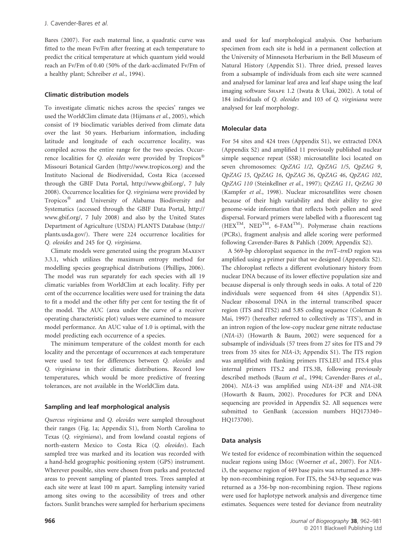Bares (2007). For each maternal line, a quadratic curve was fitted to the mean Fv/Fm after freezing at each temperature to predict the critical temperature at which quantum yield would reach an Fv/Fm of 0.40 (50% of the dark-acclimated Fv/Fm of a healthy plant; Schreiber et al., 1994).

# Climatic distribution models

To investigate climatic niches across the species' ranges we used the WorldClim climate data (Hijmans et al., 2005), which consist of 19 bioclimatic variables derived from climate data over the last 50 years. Herbarium information, including latitude and longitude of each occurrence locality, was compiled across the entire range for the two species. Occurrence localities for *Q. oleoides* were provided by Tropicos<sup>®</sup> Missouri Botanical Garden (http://www.tropicos.org) and the Instituto Nacional de Biodiversidad, Costa Rica (accessed through the GBIF Data Portal, http://www.gbif.org/, 7 July 2008). Occurrence localities for Q. virginiana were provided by Tropicos" and University of Alabama Biodiversity and Systematics (accessed through the GBIF Data Portal, http:// www.gbif.org/, 7 July 2008) and also by the United States Department of Agriculture (USDA) PLANTS Database (http:// plants.usda.gov/). There were 224 occurrence localities for Q. oleoides and 245 for Q. virginiana.

Climate models were generated using the program MAXENT 3.3.1, which utilizes the maximum entropy method for modelling species geographical distributions (Phillips, 2006). The model was run separately for each species with all 19 climatic variables from WorldClim at each locality. Fifty per cent of the occurrence localities were used for training the data to fit a model and the other fifty per cent for testing the fit of the model. The AUC (area under the curve of a receiver operating characteristic plot) values were examined to measure model performance. An AUC value of 1.0 is optimal, with the model predicting each occurrence of a species.

The minimum temperature of the coldest month for each locality and the percentage of occurrences at each temperature were used to test for differences between Q. oleoides and Q. virginiana in their climatic distributions. Record low temperatures, which would be more predictive of freezing tolerances, are not available in the WorldClim data.

# Sampling and leaf morphological analysis

Quercus virginiana and Q. oleoides were sampled throughout their ranges (Fig. 1a; Appendix S1), from North Carolina to Texas (Q. virginiana), and from lowland coastal regions of north-eastern Mexico to Costa Rica (Q. oleoides). Each sampled tree was marked and its location was recorded with a hand-held geographic positioning system (GPS) instrument. Wherever possible, sites were chosen from parks and protected areas to prevent sampling of planted trees. Trees sampled at each site were at least 100 m apart. Sampling intensity varied among sites owing to the accessibility of trees and other factors. Sunlit branches were sampled for herbarium specimens and used for leaf morphological analysis. One herbarium specimen from each site is held in a permanent collection at the University of Minnesota Herbarium in the Bell Museum of Natural History (Appendix S1). Three dried, pressed leaves from a subsample of individuals from each site were scanned and analysed for laminar leaf area and leaf shape using the leaf imaging software Shape 1.2 (Iwata & Ukai, 2002). A total of 184 individuals of Q. oleoides and 103 of Q. virginiana were analysed for leaf morphology.

# Molecular data

For 54 sites and 424 trees (Appendix S1), we extracted DNA (Appendix S2) and amplified 11 previously published nuclear simple sequence repeat (SSR) microsatellite loci located on seven chromosomes: QpZAG 1/2, QpZAG 1/5, QpZAG 9, QpZAG 15, QpZAG 16, QpZAG 36, QpZAG 46, QpZAG 102, QpZAG 110 (Steinkellner et al., 1997); QrZAG 11, QrZAG 30 (Kampfer et al., 1998). Nuclear microsatellites were chosen because of their high variability and their ability to give genome-wide information that reflects both pollen and seed dispersal. Forward primers were labelled with a fluorescent tag (HEXTM, NEDTM, 6-FAMTM). Polymerase chain reactions (PCRs), fragment analysis and allele scoring were performed following Cavender-Bares & Pahlich (2009; Appendix S2).

A 569-bp chloroplast sequence in the trnT–trnD region was amplified using a primer pair that we designed (Appendix S2). The chloroplast reflects a different evolutionary history from nuclear DNA because of its lower effective population size and because dispersal is only through seeds in oaks. A total of 220 individuals were sequenced from 44 sites (Appendix S1). Nuclear ribosomal DNA in the internal transcribed spacer region (ITS and ITS2) and 5.8S coding sequence (Coleman & Mai, 1997) (hereafter referred to collectively as 'ITS'), and in an intron region of the low-copy nuclear gene nitrate reductase (NIA-i3) (Howarth & Baum, 2002) were sequenced for a subsample of individuals (57 trees from 27 sites for ITS and 79 trees from 35 sites for NIA-i3; Appendix S1). The ITS region was amplified with flanking primers ITS.LEU and ITS.4 plus internal primers ITS.2 and ITS.3B, following previously described methods (Baum et al., 1994; Cavender-Bares et al., 2004). NIA-i3 was amplified using NIA-i3F and NIA-i3R (Howarth & Baum, 2002). Procedures for PCR and DNA sequencing are provided in Appendix S2. All sequences were submitted to GenBank (accession numbers HQ173340– HQ173700).

# Data analysis

We tested for evidence of recombination within the sequenced nuclear regions using IMgc (Woerner et al., 2007). For NIAi3, the sequence region of 449 base pairs was returned as a 389 bp non-recombining region. For ITS, the 543-bp sequence was returned as a 356-bp non-recombining region. These regions were used for haplotype network analysis and divergence time estimates. Sequences were tested for deviance from neutrality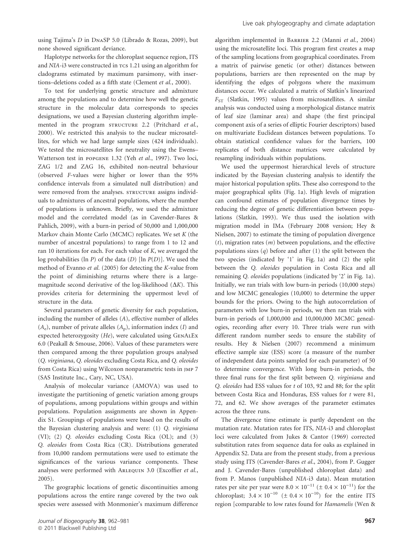using Tajima's D in DnaSP 5.0 (Librado & Rozas, 2009), but none showed significant deviance.

Haplotype networks for the chloroplast sequence region, ITS and NIA-i3 were constructed in tcs 1.21 using an algorithm for cladograms estimated by maximum parsimony, with insertions–deletions coded as a fifth state (Clement et al., 2000).

To test for underlying genetic structure and admixture among the populations and to determine how well the genetic structure in the molecular data corresponds to species designations, we used a Bayesian clustering algorithm implemented in the program structure 2.2 (Pritchard et al., 2000). We restricted this analysis to the nuclear microsatellites, for which we had large sample sizes (424 individuals). We tested the microsatellites for neutrality using the Ewens– Watterson test in popgene 1.32 (Yeh et al., 1997). Two loci, ZAG 1/2 and ZAG 16, exhibited non-neutral behaviour (observed F-values were higher or lower than the 95% confidence intervals from a simulated null distribution) and were removed from the analyses. STRUCTURE assigns individuals to admixtures of ancestral populations, where the number of populations is unknown. Briefly, we used the admixture model and the correlated model (as in Cavender-Bares & Pahlich, 2009), with a burn-in period of 50,000 and 1,000,000 Markov chain Monte Carlo (MCMC) replicates. We set  $K$  (the number of ancestral populations) to range from 1 to 12 and ran 10 iterations for each. For each value of K, we averaged the log probabilities (ln P) of the data (D) [ln  $P(D)$ ]. We used the method of Evanno et al. (2005) for detecting the K-value from the point of diminishing returns where there is a largemagnitude second derivative of the log-likelihood  $(\Delta K)$ . This provides criteria for determining the uppermost level of structure in the data.

Several parameters of genetic diversity for each population, including the number of alleles (A), effective number of alleles  $(A_e)$ , number of private alleles  $(A_p)$ , information index (I) and expected heterozygosity (He), were calculated using GENALEx 6.0 (Peakall & Smouse, 2006). Values of these parameters were then compared among the three population groups analysed (Q. virginiana, Q. oleoides excluding Costa Rica, and Q. oleoides from Costa Rica) using Wilcoxon nonparametric tests in jmp 7 (SAS Institute Inc., Cary, NC, USA).

Analysis of molecular variance (AMOVA) was used to investigate the partitioning of genetic variation among groups of populations, among populations within groups and within populations. Population assignments are shown in Appendix S1. Groupings of populations were based on the results of the Bayesian clustering analysis and were: (1) Q. virginiana (VI); (2) Q. oleoides excluding Costa Rica (OL); and (3) Q. oleoides from Costa Rica (CR). Distributions generated from 10,000 random permutations were used to estimate the significances of the various variance components. These analyses were performed with ARLEQUIN 3.0 (Excoffier et al., 2005).

The geographic locations of genetic discontinuities among populations across the entire range covered by the two oak species were assessed with Monmonier's maximum difference

algorithm implemented in BARRIER 2.2 (Manni et al., 2004) using the microsatellite loci. This program first creates a map of the sampling locations from geographical coordinates. From a matrix of pairwise genetic (or other) distances between populations, barriers are then represented on the map by identifying the edges of polygons where the maximum distances occur. We calculated a matrix of Slatkin's linearized  $F_{ST}$  (Slatkin, 1995) values from microsatellites. A similar analysis was conducted using a morphological distance matrix of leaf size (laminar area) and shape (the first principal component axis of a series of elliptic Fourier descriptors) based on multivariate Euclidean distances between populations. To obtain statistical confidence values for the barriers, 100 replicates of both distance matrices were calculated by resampling individuals within populations.

We used the uppermost hierarchical levels of structure indicated by the Bayesian clustering analysis to identify the major historical population splits. These also correspond to the major geographical splits (Fig. 1a). High levels of migration can confound estimates of population divergence times by reducing the degree of genetic differentiation between populations (Slatkin, 1993). We thus used the isolation with migration model in IMa (February 2008 version; Hey & Nielsen, 2007) to estimate the timing of population divergence  $(t)$ , migration rates  $(m)$  between populations, and the effective populations sizes  $(q)$  before and after  $(1)$  the split between the two species (indicated by '1' in Fig. 1a) and (2) the split between the Q. oleoides population in Costa Rica and all remaining Q. oleoides populations (indicated by '2' in Fig. 1a). Initially, we ran trials with low burn-in periods (10,000 steps) and low MCMC genealogies (10,000) to determine the upper bounds for the priors. Owing to the high autocorrelation of parameters with low burn-in periods, we then ran trials with burn-in periods of 1,000,000 and 10,000,000 MCMC genealogies, recording after every 10. Three trials were run with different random number seeds to ensure the stability of results. Hey & Nielsen (2007) recommend a minimum effective sample size (ESS) score (a measure of the number of independent data points sampled for each parameter) of 50 to determine convergence. With long burn-in periods, the three final runs for the first split between Q. virginiana and Q. oleoides had ESS values for t of 103, 92 and 88; for the split between Costa Rica and Honduras, ESS values for t were 81, 72, and 62. We show averages of the parameter estimates across the three runs.

The divergence time estimate is partly dependent on the mutation rate. Mutation rates for ITS, NIA-i3 and chloroplast loci were calculated from Jukes & Cantor (1969) corrected substitution rates from sequence data for oaks as explained in Appendix S2. Data are from the present study, from a previous study using ITS (Cavender-Bares et al., 2004), from P. Gugger and J. Cavender-Bares (unpublished chloroplast data) and from P. Manos (unpublished NIA-i3 data). Mean mutation rates per site per year were  $8.0 \times 10^{-11}$  ( $\pm 0.4 \times 10^{-11}$ ) for the chloroplast;  $3.4 \times 10^{-10}$  ( $\pm 0.4 \times 10^{-10}$ ) for the entire ITS region [comparable to low rates found for Hamamelis (Wen &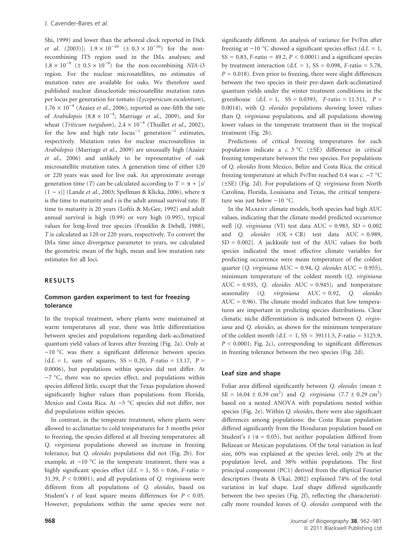Shi, 1999) and lower than the arboreal clock reported in Dick *et al.* (2003)];  $1.9 \times 10^{-10}$  ( $\pm 0.3 \times 10^{-10}$ ) for the nonrecombining ITS region used in the IMa analyses; and  $1.8 \times 10^{-9}$  ( $\pm 0.5 \times 10^{-9}$ ) for the non-recombining NIA-i3 region. For the nuclear microsatellites, no estimates of mutation rates are available for oaks. We therefore used published nuclear dinucleotide microsatellite mutation rates per locus per generation for tomato (Lycopersicum esculentum),  $1.76 \times 10^{-4}$  (Azaiez *et al.*, 2006), reported as one-fifth the rate of Arabidopsis  $(8.8 \times 10^{-4})$ ; Marriage *et al.*, 2009), and for wheat (*Triticum turgidum*),  $2.4 \times 10^{-4}$  (Thuillet *et al.*, 2002), for the low and high rate  $locus^{-1}$  generation<sup>-1</sup> estimates, respectively. Mutation rates for nuclear microsatellites in Arabidopsis (Marriage et al., 2009) are unusually high (Azaiez et al., 2006) and unlikely to be representative of oak microsatellite mutation rates. A generation time of either 120 or 220 years was used for live oak. An approximate average generation time (T) can be calculated according to  $T = \alpha + \lfloor s \rfloor$  $(1 - s)$ ] (Lande *et al.*, 2003; Spellman & Klicka, 2006), where  $\alpha$ is the time to maturity and s is the adult annual survival rate. If time to maturity is 20 years (Loftis & McGee, 1992) and adult annual survival is high (0.99) or very high (0.995), typical values for long-lived tree species (Franklin & Debell, 1988), T is calculated as 120 or 220 years, respectively. To convert the IMa time since divergence parameter to years, we calculated the geometric mean of the high, mean and low mutation rate estimates for all loci.

### RESULTS

#### Common garden experiment to test for freezing tolerance

In the tropical treatment, where plants were maintained at warm temperatures all year, there was little differentiation between species and populations regarding dark-acclimatized quantum yield values of leaves after freezing (Fig. 2a). Only at  $-10$  °C was there a significant difference between species  $(d.f. = 1, sum of squares, SS = 0.20, F-ratio = 13.17, P =$ 0.0006), but populations within species did not differ. At  $-7$  °C, there was no species effect, and populations within species differed little, except that the Texas population showed significantly higher values than populations from Florida, Mexico and Costa Rica. At  $-5$  °C species did not differ, nor did populations within species.

In contrast, in the temperate treatment, where plants were allowed to acclimatize to cold temperatures for 3 months prior to freezing, the species differed at all freezing temperatures: all Q. virginiana populations showed an increase in freezing tolerance, but Q. oleoides populations did not (Fig. 2b). For example, at  $-10$  °C in the temperate treatment, there was a highly significant species effect (d.f.  $= 1$ , SS  $= 0.66$ , *F*-ratio  $=$ 31.39,  $P < 0.0001$ ), and all populations of Q. virginiana were different from all populations of Q. oleoides, based on Student's  $t$  of least square means differences for  $P < 0.05$ . However, populations within the same species were not significantly different. An analysis of variance for Fv/Fm after freezing at  $-10$  °C showed a significant species effect (d.f. = 1,  $SS = 0.83$ , F-ratio = 49.2,  $P < 0.0001$ ) and a significant species by treatment interaction (d.f. = 1,  $SS = 0.098$ ,  $F$ -ratio = 5.78,  $P = 0.018$ ). Even prior to freezing, there were slight differences between the two species in their pre-dawn dark-acclimatized quantum yields under the winter treatment conditions in the greenhouse  $(d.f. = 1, SS = 0.0393, F-ratio = 11.511, P =$ 0.0014), with Q. oleoides populations showing lower values than Q. virginiana populations, and all populations showing lower values in the temperate treatment than in the tropical treatment (Fig. 2b).

Predictions of critical freezing temperatures for each population indicate a c.  $3 \text{ °C}$  ( $\pm$ SE) difference in critical freezing temperature between the two species. For populations of Q. oleoides from Mexico, Belize and Costa Rica, the critical freezing temperature at which Fv/Fm reached 0.4 was  $c. -7$  °C (±SE) (Fig. 2d). For populations of Q. virginiana from North Carolina, Florida, Louisiana and Texas, the critical temperature was just below  $-10$  °C.

In the MAXENT climate models, both species had high AUC values, indicating that the climate model predicted occurrence well [Q. virginiana (VI) test data  $AUC = 0.983$ ,  $SD = 0.002$ and Q. oleoides  $(OL + CR)$  test data  $AUC = 0.989$ ,  $SD = 0.002$ . A jackknife test of the AUC values for both species indicated the most effective climate variables for predicting occurrence were mean temperature of the coldest quarter (Q. virginiana AUC = 0.94, Q. oleoides AUC = 0.955), minimum temperature of the coldest month (Q. virginiana AUC =  $0.935$ , Q. oleoides AUC =  $0.945$ ), and temperature seasonality (Q. virginiana AUC = 0.92, Q. oleoides  $AUC = 0.96$ ). The climate model indicates that low temperatures are important in predicting species distributions. Clear climatic niche differentiation is indicated between Q. virginiana and Q. oleoides, as shown for the minimum temperature of the coldest month (d.f. =  $1, SS = 39111.5, F$ -ratio = 5125.9,  $P < 0.0001$ ; Fig. 2c), corresponding to significant differences in freezing tolerance between the two species (Fig. 2d).

#### Leaf size and shape

Foliar area differed significantly between Q. oleoides (mean  $\pm$  $SE = 16.04 \pm 0.39$  cm<sup>2</sup>) and Q. *virginiana* (7.7  $\pm$  0.29 cm<sup>2</sup>) based on a nested ANOVA with populations nested within species (Fig. 2e). Within Q. oleoides, there were also significant differences among populations: the Costa Rican population differed significantly from the Honduran population based on Student's  $t$  ( $\alpha$  = 0.05), but neither population differed from Belizean or Mexican populations. Of the total variation in leaf size, 60% was explained at the species level, only 2% at the population level, and 38% within populations. The first principal component (PC1) derived from the elliptical Fourier descriptors (Iwata & Ukai, 2002) explained 74% of the total variation in leaf shape. Leaf shape differed significantly between the two species (Fig. 2f), reflecting the characteristically more rounded leaves of Q. oleoides compared with the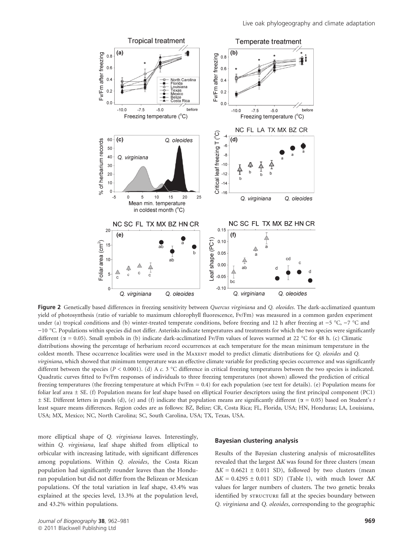

Figure 2 Genetically based differences in freezing sensitivity between Quercus virginiana and Q. oleoides. The dark-acclimatized quantum yield of photosynthesis (ratio of variable to maximum chlorophyll fluorescence, Fv/Fm) was measured in a common garden experiment under (a) tropical conditions and (b) winter-treated temperate conditions, before freezing and 12 h after freezing at  $-5$  °C,  $-7$  °C and  $-10$  °C. Populations within species did not differ. Asterisks indicate temperatures and treatments for which the two species were significantly different ( $\alpha$  = 0.05). Small symbols in (b) indicate dark-acclimatized Fv/Fm values of leaves warmed at 22 °C for 48 h. (c) Climatic distributions showing the percentage of herbarium record occurrences at each temperature for the mean minimum temperature in the coldest month. These occurrence localities were used in the MAXENT model to predict climatic distributions for Q. oleoides and Q. virginiana, which showed that minimum temperature was an effective climate variable for predicting species occurrence and was significantly different between the species ( $P < 0.0001$ ). (d) A c. 3 °C difference in critical freezing temperatures between the two species is indicated. Quadratic curves fitted to Fv/Fm responses of individuals to three freezing temperatures (not shown) allowed the prediction of critical freezing temperatures (the freezing temperature at which Fv/Fm = 0.4) for each population (see text for details). (e) Population means for foliar leaf area ± SE. (f) Population means for leaf shape based on elliptical Fourier descriptors using the first principal component (PC1)  $\pm$  SE. Different letters in panels (d), (e) and (f) indicate that population means are significantly different ( $\alpha$  = 0.05) based on Student's t least square means differences. Region codes are as follows: BZ, Belize; CR, Costa Rica; FL, Florida, USA; HN, Honduras; LA, Louisiana, USA; MX, Mexico; NC, North Carolina; SC, South Carolina, USA; TX, Texas, USA.

more elliptical shape of Q. virginiana leaves. Interestingly, within Q. virginiana, leaf shape shifted from elliptical to orbicular with increasing latitude, with significant differences among populations. Within Q. oleoides, the Costa Rican population had significantly rounder leaves than the Honduran population but did not differ from the Belizean or Mexican populations. Of the total variation in leaf shape, 43.4% was explained at the species level, 13.3% at the population level, and 43.2% within populations.

#### Bayesian clustering analysis

Results of the Bayesian clustering analysis of microsatellites revealed that the largest  $\Delta K$  was found for three clusters (mean  $\Delta K = 0.6621 \pm 0.011$  SD), followed by two clusters (mean  $\Delta K = 0.4295 \pm 0.011$  SD) (Table 1), with much lower  $\Delta K$ values for larger numbers of clusters. The two genetic breaks identified by STRUCTURE fall at the species boundary between Q. virginiana and Q. oleoides, corresponding to the geographic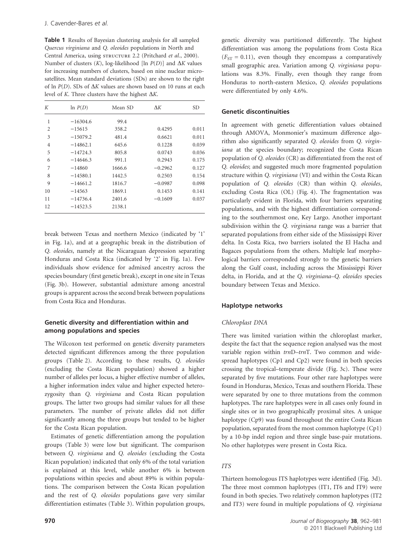Table 1 Results of Bayesian clustering analysis for all sampled Quercus virginiana and Q. oleoides populations in North and Central America, using structure 2.2 (Pritchard et al., 2000). Number of clusters  $(K)$ , log-likelihood [ln  $P(D)$ ] and  $\Delta K$  values for increasing numbers of clusters, based on nine nuclear microsatellites. Mean standard deviations (SDs) are shown to the right of ln  $P(D)$ . SDs of  $\Delta K$  values are shown based on 10 runs at each level of K. Three clusters have the highest  $\Delta K$ .

| K              | $\ln P(D)$ | Mean SD | ΛK        | <b>SD</b> |
|----------------|------------|---------|-----------|-----------|
| 1              | $-16304.6$ | 99.4    |           |           |
| $\overline{2}$ | $-15615$   | 358.2   | 0.4295    | 0.011     |
| 3              | $-15079.2$ | 481.4   | 0.6621    | 0.011     |
| $\overline{4}$ | $-14862.1$ | 645.6   | 0.1228    | 0.039     |
| 5              | $-14724.3$ | 805.8   | 0.0743    | 0.036     |
| 6              | $-14646.3$ | 991.1   | 0.2943    | 0.175     |
| 7              | $-14860$   | 1666.6  | $-0.2962$ | 0.127     |
| 8              | $-14580.1$ | 1442.5  | 0.2503    | 0.154     |
| 9              | $-14661.2$ | 1816.7  | $-0.0987$ | 0.098     |
| 10             | $-14563$   | 1869.1  | 0.1453    | 0.141     |
| 11             | $-14736.4$ | 2401.6  | $-0.1609$ | 0.037     |
| 12             | $-14523.5$ | 2138.1  |           |           |

break between Texas and northern Mexico (indicated by '1' in Fig. 1a), and at a geographic break in the distribution of Q. oleoides, namely at the Nicaraguan depression separating Honduras and Costa Rica (indicated by '2' in Fig. 1a). Few individuals show evidence for admixed ancestry across the species boundary (first genetic break), except in one site in Texas (Fig. 3b). However, substantial admixture among ancestral groups is apparent across the second break between populations from Costa Rica and Honduras.

# Genetic diversity and differentiation within and among populations and species

The Wilcoxon test performed on genetic diversity parameters detected significant differences among the three population groups (Table 2). According to these results, Q. oleoides (excluding the Costa Rican population) showed a higher number of alleles per locus, a higher effective number of alleles, a higher information index value and higher expected heterozygosity than Q. virginiana and Costa Rican population groups. The latter two groups had similar values for all these parameters. The number of private alleles did not differ significantly among the three groups but tended to be higher for the Costa Rican population.

Estimates of genetic differentiation among the population groups (Table 3) were low but significant. The comparison between Q. virginiana and Q. oleoides (excluding the Costa Rican population) indicated that only 6% of the total variation is explained at this level, while another 6% is between populations within species and about 89% is within populations. The comparison between the Costa Rican population and the rest of Q. oleoides populations gave very similar differentiation estimates (Table 3). Within population groups,

#### Genetic discontinuities

In agreement with genetic differentiation values obtained through AMOVA, Monmonier's maximum difference algorithm also significantly separated Q. oleoides from Q. virginiana at the species boundary; recognized the Costa Rican population of Q. oleoides (CR) as differentiated from the rest of Q. oleoides; and suggested much more fragmented population structure within Q. virginiana (VI) and within the Costa Rican population of Q. oleoides (CR) than within Q. oleoides, excluding Costa Rica (OL) (Fig. 4). The fragmentation was particularly evident in Florida, with four barriers separating populations, and with the highest differentiation corresponding to the southernmost one, Key Largo. Another important subdivision within the Q. virginiana range was a barrier that separated populations from either side of the Mississippi River delta. In Costa Rica, two barriers isolated the El Hacha and Bagaces populations from the others. Multiple leaf morphological barriers corresponded strongly to the genetic barriers along the Gulf coast, including across the Mississippi River delta, in Florida, and at the Q. virginiana–Q. oleoides species boundary between Texas and Mexico.

### Haplotype networks

#### Chloroplast DNA

There was limited variation within the chloroplast marker, despite the fact that the sequence region analysed was the most variable region within trnD–trnT. Two common and widespread haplotypes (Cp1 and Cp2) were found in both species crossing the tropical–temperate divide (Fig. 3c). These were separated by five mutations. Four other rare haplotypes were found in Honduras, Mexico, Texas and southern Florida. These were separated by one to three mutations from the common haplotypes. The rare haplotypes were in all cases only found in single sites or in two geographically proximal sites. A unique haplotype (Cp9) was found throughout the entire Costa Rican population, separated from the most common haplotype (Cp1) by a 10-bp indel region and three single base-pair mutations. No other haplotypes were present in Costa Rica.

# ITS

Thirteen homologous ITS haplotypes were identified (Fig. 3d). The three most common haplotypes (IT1, IT6 and IT9) were found in both species. Two relatively common haplotypes (IT2 and IT3) were found in multiple populations of Q. virginiana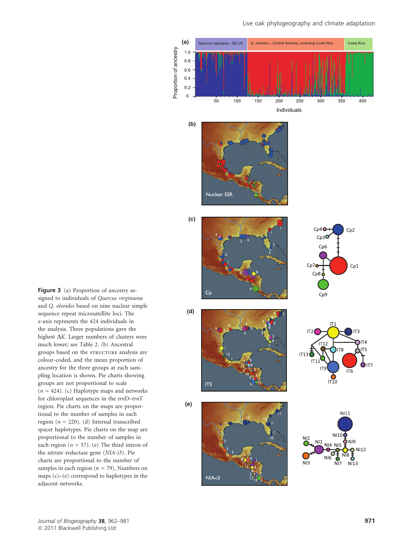#### Live oak phylogeography and climate adaptation



Figure 3 (a) Proportion of ancestry assigned to individuals of Quercus virginiana and Q. oleoides based on nine nuclear simple sequence repeat microsatellite loci. The x-axis represents the 424 individuals in the analysis. Three populations gave the highest  $\Delta K$ . Larger numbers of clusters were much lower; see Table 2. (b) Ancestral groups based on the STRUCTURE analysis are colour-coded, and the mean proportion of ancestry for the three groups at each sampling location is shown. Pie charts showing groups are not proportional to scale  $(n = 424)$ . (c) Haplotype maps and networks for chloroplast sequences in the trnD–trnT region. Pie charts on the maps are proportional to the number of samples in each region ( $n = 220$ ). (d) Internal transcribed spacer haplotypes. Pie charts on the map are proportional to the number of samples in each region ( $n = 57$ ). (e) The third intron of the nitrate reductase gene (NIA-i3). Pie charts are proportional to the number of samples in each region ( $n = 79$ ). Numbers on maps (c)–(e) correspond to haplotypes in the adjacent networks.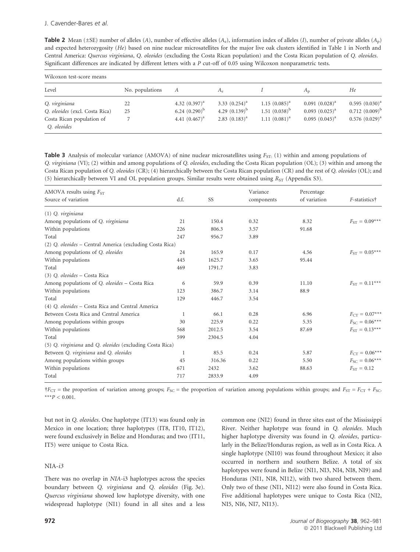**Table 2** Mean ( $\pm$ SE) number of alleles (A), number of effective alleles (A<sub>c</sub>), information index of alleles (I), number of private alleles (A<sub>n</sub>) and expected heterozygosity (He) based on nine nuclear microsatellites for the major live oak clusters identified in Table 1 in North and Central America: Quercus virginiana, Q. oleoides (excluding the Costa Rican population) and the Costa Rican population of Q. oleoides. Significant differences are indicated by different letters with a P cut-off of 0.05 using Wilcoxon nonparametric tests.

| Wilcoxon test-score means                |                 |                  |                    |                    |                     |                     |
|------------------------------------------|-----------------|------------------|--------------------|--------------------|---------------------|---------------------|
| Level                                    | No. populations | A                | $A_{\rho}$         |                    | $A_{n}$             | He                  |
| Q. virginiana                            | 22              | 4.32 $(0.397)^a$ | 3.33 $(0.254)^a$   | $1.15(0.085)^{a}$  | $0.091 (0.028)^a$   | $0.595(0.030)^{a}$  |
| O. oleoides (excl. Costa Rica)           | 25              | $6.24 (0.290)^b$ | 4.29 $(0.139)^{b}$ | 1.51 $(0.038)^{b}$ | $0.093$ $(0.025)^a$ | $0.712 (0.009)^{b}$ |
| Costa Rican population of<br>O. oleoides |                 | 4.41 $(0.467)^a$ | $2.83(0.183)^a$    | $1.11 (0.081)^a$   | $0.095(0.045)^{a}$  | $0.576$ $(0.029)^a$ |

Table 3 Analysis of molecular variance (AMOVA) of nine nuclear microsatellites using  $F_{ST}$ : (1) within and among populations of Q. virginiana (VI); (2) within and among populations of Q. oleoides, excluding the Costa Rican population (OL); (3) within and among the Costa Rican population of Q. oleoides (CR); (4) hierarchically between the Costa Rican population (CR) and the rest of Q. oleoides (OL); and (5) hierarchically between VI and OL population groups. Similar results were obtained using  $R_{ST}$  (Appendix S3).

|                                                            |            | AMOVA results using $F_{ST}$ |                        |  |  |  |  |  |
|------------------------------------------------------------|------------|------------------------------|------------------------|--|--|--|--|--|
|                                                            | Variance   | Percentage                   |                        |  |  |  |  |  |
| Source of variation<br>d.f.<br>SS                          | components | of variation                 | F-statistics†          |  |  |  |  |  |
| (1) Q. virginiana                                          |            |                              |                        |  |  |  |  |  |
| Among populations of Q. virginiana<br>21<br>150.4          | 0.32       | 8.32                         | $F_{ST} = 0.09***$     |  |  |  |  |  |
| Within populations<br>226<br>806.3                         | 3.57       | 91.68                        |                        |  |  |  |  |  |
| Total<br>247<br>956.7                                      | 3.89       |                              |                        |  |  |  |  |  |
| (2) Q. oleoides – Central America (excluding Costa Rica)   |            |                              |                        |  |  |  |  |  |
| Among populations of Q. oleoides<br>24<br>165.9            | 0.17       | 4.56                         | $F_{ST} = 0.05***$     |  |  |  |  |  |
| Within populations<br>1625.7<br>445                        | 3.65       | 95.44                        |                        |  |  |  |  |  |
| Total<br>1791.7<br>469                                     | 3.83       |                              |                        |  |  |  |  |  |
| (3) O. oleoides – Costa Rica                               |            |                              |                        |  |  |  |  |  |
| Among populations of Q. oleoides - Costa Rica<br>59.9<br>6 | 0.39       | 11.10                        | $F_{ST} = 0.11***$     |  |  |  |  |  |
| Within populations<br>123<br>386.7                         | 3.14       | 88.9                         |                        |  |  |  |  |  |
| Total<br>129<br>446.7                                      | 3.54       |                              |                        |  |  |  |  |  |
| (4) O. oleoides – Costa Rica and Central America           |            |                              |                        |  |  |  |  |  |
| Between Costa Rica and Central America<br>66.1<br>1        | 0.28       | 6.96                         | $F_{\rm CT} = 0.07***$ |  |  |  |  |  |
| Among populations within groups<br>30<br>225.9             | 0.22       | 5.35                         | $F_{SC} = 0.06***$     |  |  |  |  |  |
| Within populations<br>2012.5<br>568                        | 3.54       | 87.69                        | $F_{ST} = 0.13***$     |  |  |  |  |  |
| Total<br>599<br>2304.5                                     | 4.04       |                              |                        |  |  |  |  |  |
| (5) Q. virginiana and Q. oleoides (excluding Costa Rica)   |            |                              |                        |  |  |  |  |  |
| Between Q. virginiana and Q. oleoides<br>85.5              | 0.24       | 5.87                         | $F_{CT} = 0.06***$     |  |  |  |  |  |
| Among populations within groups<br>316.36<br>45            | 0.22       | 5.50                         | $F_{SC} = 0.06***$     |  |  |  |  |  |
| Within populations<br>671<br>2432                          | 3.62       | 88.63                        | $F_{ST} = 0.12$        |  |  |  |  |  |
| Total<br>717<br>2833.9                                     | 4.09       |                              |                        |  |  |  |  |  |

 $\dagger F_{CT}$  = the proportion of variation among groups;  $F_{SC}$  = the proportion of variation among populations within groups; and  $F_{ST} = F_{CT} + F_{SC}$ . \*\*\* $P < 0.001$ .

but not in Q. oleoides. One haplotype (IT13) was found only in Mexico in one location; three haplotypes (IT8, IT10, IT12), were found exclusively in Belize and Honduras; and two (IT11, IT5) were unique to Costa Rica.

### $NIA-i3$

There was no overlap in NIA-i3 haplotypes across the species boundary between Q. virginiana and Q. oleoides (Fig. 3e). Quercus virginiana showed low haplotype diversity, with one widespread haplotype (NI1) found in all sites and a less common one (NI2) found in three sites east of the Mississippi River. Neither haplotype was found in Q. oleoides. Much higher haplotype diversity was found in Q. oleoides, particularly in the Belize/Honduras region, as well as in Costa Rica. A single haplotype (NI10) was found throughout Mexico; it also occurred in northern and southern Belize. A total of six haplotypes were found in Belize (NI1, NI3, NI4, NI8, NI9) and Honduras (NI1, NI8, NI12), with two shared between them. Only two of these (NI1, NI12) were also found in Costa Rica. Five additional haplotypes were unique to Costa Rica (NI2, NI5, NI6, NI7, NI13).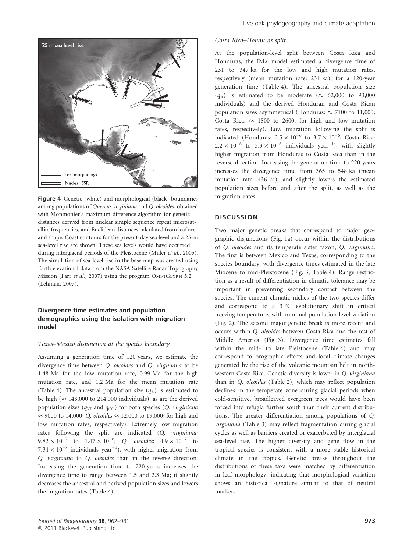

Figure 4 Genetic (white) and morphological (black) boundaries among populations of Quercus virginiana and Q. oleoides, obtained with Monmonier's maximum difference algorithm for genetic distances derived from nuclear simple sequence repeat microsatellite frequencies, and Euclidean distances calculated from leaf area and shape. Coast contours for the present-day sea level and a 25-m sea-level rise are shown. These sea levels would have occurred during interglacial periods of the Pleistocene (Miller et al., 2005). The simulation of sea-level rise in the base map was created using Earth elevational data from the NASA Satellite Radar Topography Mission (Farr et al., 2007) using the program OMNIGLYPH 5.2 (Lehman, 2007).

# Divergence time estimates and population demographics using the isolation with migration model

#### Texas–Mexico disjunction at the species boundary

Assuming a generation time of 120 years, we estimate the divergence time between Q. oleoides and Q. virginiana to be 1.48 Ma for the low mutation rate, 0.99 Ma for the high mutation rate, and 1.2 Ma for the mean mutation rate (Table 4). The ancestral population size  $(q_A)$  is estimated to be high ( $\approx$  143,000 to 214,000 individuals), as are the derived population sizes ( $q_{VI}$  and  $q_{OL}$ ) for both species (Q. virginiana  $\approx$  9000 to 14,000; *O. oleoides*  $\approx$  12,000 to 19,000; for high and low mutation rates, respectively). Extremely low migration rates following the split are indicated (Q. virginiana:  $9.82 \times 10^{-7}$  to  $1.47 \times 10^{-6}$ ; Q. oleoides:  $4.9 \times 10^{-7}$  to 7.34  $\times$  10<sup>-7</sup> individuals year<sup>-1</sup>), with higher migration from Q. virginiana to Q. oleoides than in the reverse direction. Increasing the generation time to 220 years increases the divergence time to range between 1.5 and 2.3 Ma; it slightly decreases the ancestral and derived population sizes and lowers the migration rates (Table 4).

# Costa Rica–Honduras split

At the population-level split between Costa Rica and Honduras, the IMa model estimated a divergence time of 231 to 347 ka for the low and high mutation rates, respectively (mean mutation rate: 231 ka), for a 120-year generation time (Table 4). The ancestral population size  $(q_A)$  is estimated to be moderate ( $\approx$  62,000 to 93,000 individuals) and the derived Honduran and Costa Rican population sizes asymmetrical (Honduras:  $\approx$  7100 to 11,000; Costa Rica:  $\approx$  1800 to 2600, for high and low mutation rates, respectively). Low migration following the split is indicated (Honduras:  $2.5 \times 10^{-6}$  to  $3.7 \times 10^{-6}$ ; Costa Rica:  $2.2 \times 10^{-6}$  to  $3.3 \times 10^{-6}$  individuals year<sup>-1</sup>), with slightly higher migration from Honduras to Costa Rica than in the reverse direction. Increasing the generation time to 220 years increases the divergence time from 365 to 548 ka (mean mutation rate: 436 ka), and slightly lowers the estimated population sizes before and after the split, as well as the migration rates.

### **DISCUSSION**

Two major genetic breaks that correspond to major geographic disjunctions (Fig. 1a) occur within the distributions of Q. oleoides and its temperate sister taxon, Q. virginiana. The first is between Mexico and Texas, corresponding to the species boundary, with divergence times estimated in the late Miocene to mid-Pleistocene (Fig. 3; Table 4). Range restriction as a result of differentiation in climatic tolerance may be important in preventing secondary contact between the species. The current climatic niches of the two species differ and correspond to a  $3^{\circ}$ C evolutionary shift in critical freezing temperature, with minimal population-level variation (Fig. 2). The second major genetic break is more recent and occurs within Q. oleoides between Costa Rica and the rest of Middle America (Fig. 3). Divergence time estimates fall within the mid- to late Pleistocene (Table 4) and may correspond to orographic effects and local climate changes generated by the rise of the volcanic mountain belt in northwestern Costa Rica. Genetic diversity is lower in Q. virginiana than in Q. oleoides (Table 2), which may reflect population declines in the temperate zone during glacial periods when cold-sensitive, broadleaved evergreen trees would have been forced into refugia further south than their current distributions. The greater differentiation among populations of Q. virginiana (Table 3) may reflect fragmentation during glacial cycles as well as barriers created or exacerbated by interglacial sea-level rise. The higher diversity and gene flow in the tropical species is consistent with a more stable historical climate in the tropics. Genetic breaks throughout the distributions of these taxa were matched by differentiation in leaf morphology, indicating that morphological variation shows an historical signature similar to that of neutral markers.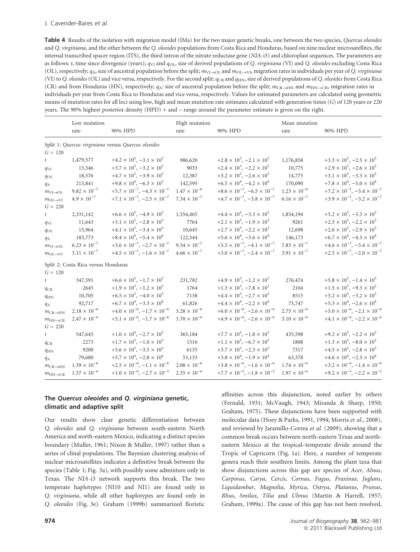Table 4 Results of the isolation with migration model (IMa) for the two major genetic breaks, one between the two species, Quercus oleoides and *O. virginiana*, and the other between the *O. oleoides* populations from Costa Rica and Honduras, based on nine nuclear microsatellites, the internal transcribed spacer region (ITS), the third intron of the nitrate reductase gene (NIA-i3) and chloroplast sequences. The parameters are as follows: t, time since divergence (years);  $q_{VI}$  and  $q_{OL}$ , size of derived populations of Q. virginiana (VI) and Q. oleoides excluding Costa Rica (OL), respectively;  $q_A$ , size of ancestral population before the split;  $m_{\text{VI}\rightarrow\text{OL}}$  and  $m_{\text{OL}\rightarrow\text{VI}}$ , migration rates in individuals per year of Q. virginiana (VI) to Q. oleoides (OL) and vice versa, respectively. For the second split:  $q_{\text{CIR}}$  and  $q_{\text{HNb}}$  size of derived populations of Q. oleoides from Costa Rica (CR) and from Honduras (HN), respectively;  $q_A$ : size of ancestral population before the split;  $m_{\text{CR}\rightarrow\text{HN}}$  and  $m_{\text{HN}\rightarrow\text{CR}}$ , migration rates in individuals per year from Costa Rica to Honduras and vice versa, respectively. Values for estimated parameters are calculated using geometric means of mutation rates for all loci using low, high and mean mutation rate estimates calculated with generation times (G) of 120 years or 220 years. The 90% highest posterior density (HPD) + and – range around the parameter estimate is given on the right.

|                                                     | Low mutation                        |                                               | High mutation         |                                               | Mean mutation         |                                               |  |
|-----------------------------------------------------|-------------------------------------|-----------------------------------------------|-----------------------|-----------------------------------------------|-----------------------|-----------------------------------------------|--|
|                                                     | rate                                | 90% HPD                                       | rate                  | 90% HPD                                       | rate                  | 90% HPD                                       |  |
| Split 1: Quercus virginiana versus Quercus oleoides |                                     |                                               |                       |                                               |                       |                                               |  |
| $G = 120$                                           |                                     |                                               |                       |                                               |                       |                                               |  |
| t                                                   | 1,479,577                           | $+4.2 \times 10^5$ , $-3.1 \times 10^5$       | 986,620               | $+2.8 \times 10^5$ , $-2.1 \times 10^5$       | 1,176,858             | $+3.3 \times 10^5$ , $-2.5 \times 10^5$       |  |
| $q_{VI}$                                            | 13,546                              | $+3.7 \times 10^3$ , $-3.2 \times 10^3$       | 9033                  | $+2.4 \times 10^3$ , $-2.2 \times 10^3$       | 10,775                | $+2.9 \times 10^3$ , $-2.6 \times 10^3$       |  |
| $q_{OL}$                                            | 18,576                              | $+4.7 \times 10^3$ , $-3.9 \times 10^3$       | 12,387                | $+3.2 \times 10^3$ , $-2.6 \times 10^3$       | 14,775                | $+3.1 \times 10^{3}$ , $-3.3 \times 10^{3}$   |  |
| $q_A$                                               | 213,841                             | $+9.8 \times 10^4$ , $-6.3 \times 10^3$       | 142,595               | $+6.5 \times 10^4$ , $-4.2 \times 10^4$       | 170,090               | $+7.8 \times 10^4$ , $-5.0 \times 10^4$       |  |
| $m_{VI\rightarrow OL}$                              | $9.82\times10^{-7}$                 | $+5.7 \times 10^{-7}$ , $-4.3 \times 10^{-7}$ | $1.47\times10^{-6}$   | $+8.6 \times 10^{-7}$ , $-6.5 \times 10^{-7}$ | $1.23\times10^{-6}$   | $+7.2 \times 10^{-7}$ , $-5.4 \times 10^{-7}$ |  |
| $m_{\text{OL}\rightarrow\text{VI}}$                 | $4.9 \times 10^{-7}$                | $+7.1 \times 10^{-7}$ , $-2.5 \times 10^{-7}$ | $7.34 \times 10^{-7}$ | $+4.7 \times 10^{-7}$ , $-3.8 \times 10^{-7}$ | $6.16 \times 10^{-7}$ | $+3.9 \times 10^{-7}$ , $-3.2 \times 10^{-7}$ |  |
| $G = 220$                                           |                                     |                                               |                       |                                               |                       |                                               |  |
| t                                                   | 2,331,142                           | $+6.6 \times 10^5$ , $-4.9 \times 10^5$       | 1,554,465             | $+4.4 \times 10^5$ , $-3.3 \times 10^5$       | 1,854,194             | $+5.2 \times 10^5$ , $-3.3 \times 10^5$       |  |
| $q_{\rm VI}$                                        | 11,643                              | $+3.1 \times 10^3$ , $-2.8 \times 10^3$       | 7764                  | $+2.1 \times 10^3$ , $-1.9 \times 10^3$       | 9261                  | $+2.5 \times 10^3$ , $-2.2 \times 10^3$       |  |
| $q_{OL}$                                            | 15,964                              | $+4.1 \times 10^3$ , $-3.4 \times 10^3$       | 10,645                | $+2.7 \times 10^3$ , $-2.2 \times 10^3$       | 12,698                | $+2.6 \times 10^3$ , $-2.9 \times 10^3$       |  |
| $q_A$                                               | 183,773                             | $+8.4 \times 10^4$ , $-5.4 \times 10^4$       | 122,544               | $+5.6 \times 10^4$ , $-3.6 \times 10^4$       | 146,173               | $+6.7 \times 10^4$ , $-4.3 \times 10^4$       |  |
| $m_{VI\rightarrow OL}$                              | $6.23 \times 10^{-7}$               | $+3.6 \times 10^{-7}$ , $-2.7 \times 10^{-7}$ | $9.34 \times 10^{-7}$ | $+5.5 \times 10^{-7}$ , $-4.1 \times 10^{-7}$ | $7.83\times10^{-7}$   | $+4.6 \times 10^{-7}$ , $-3.4 \times 10^{-7}$ |  |
| $m_{\text{OL}\rightarrow\text{VI}}$                 | $3.11 \times 10^{-7}$               | $+4.5 \times 10^{-7}$ , $-1.6 \times 10^{-7}$ | $4.66 \times 10^{-7}$ | $+3.0 \times 10^{-7}$ , $-2.4 \times 10^{-7}$ | $3.91 \times 10^{-7}$ | $+2.5 \times 10^{-7}$ , $-2.0 \times 10^{-7}$ |  |
|                                                     | Split 2: Costa Rica versus Honduras |                                               |                       |                                               |                       |                                               |  |
| $G = 120$                                           |                                     |                                               |                       |                                               |                       |                                               |  |
| t                                                   | 347,591                             | $+6.6 \times 10^5$ , $-1.7 \times 10^5$       | 231,782               | $+4.9 \times 10^5$ , $-1.2 \times 10^2$       | 276,474               | $+5.8 \times 10^5$ , $-1.4 \times 10^5$       |  |
| $q_{CR}$                                            | 2645                                | $+1.9 \times 10^3$ , $-1.2 \times 10^3$       | 1764                  | $+1.3 \times 10^3$ , $-7.8 \times 10^2$       | 2104                  | $+1.5 \times 10^3$ , $-9.3 \times 10^2$       |  |
| $q_{HN}$                                            | 10,705                              | $+6.5 \times 10^3$ , $-4.0 \times 10^3$       | 7138                  | $+4.4 \times 10^3$ , $-2.7 \times 10^3$       | 8515                  | $+5.2 \times 10^3$ , $-3.2 \times 10^3$       |  |
| $q_A$                                               | 92,717                              | $+6.7 \times 10^4$ , $-3.3 \times 10^4$       | 61,826                | $+4.4 \times 10^4$ , $-2.2 \times 10^4$       | 73,747                | $+5.3 \times 10^4$ , $-2.6 \times 10^4$       |  |
| $m_{\text{CR}\rightarrow\text{HN}}$                 | $2.18\times10^{-6}$                 | $+4.0 \times 10^{-6}$ , $-1.7 \times 10^{-6}$ | $3.28 \times 10^{-6}$ | $+6.0 \times 10^{-6}$ , $-2.6 \times 10^{-6}$ | $2.75\times10^{-6}$   | $+5.0 \times 10^{-6}$ , $-2.1 \times 10^{-6}$ |  |
| $m_{\text{HN}\rightarrow\text{CR}}$                 | $2.47 \times 10^{-6}$               | $+5.1 \times 10^{-6}$ , $-1.7 \times 10^{-6}$ | $3.70 \times 10^{-6}$ | $+4.9 \times 10^{-6}$ , $-2.6 \times 10^{-6}$ | $3.10 \times 10^{-6}$ | $+4.1 \times 10^{-6}$ , $-2.2 \times 10^{-6}$ |  |
| $G = 220$                                           |                                     |                                               |                       |                                               |                       |                                               |  |
| t                                                   | 547,645                             | $+1.0 \times 10^6$ , $-2.7 \times 10^5$       | 365,184               | $+7.7 \times 10^5$ , $-1.8 \times 10^5$       | 435,598               | $+9.2 \times 10^5$ , $-2.2 \times 10^5$       |  |
| $q_{CR}$                                            | 2273                                | $+1.7 \times 10^3$ , $-1.0 \times 10^3$       | 1516                  | $+1.1 \times 10^3$ , $-6.7 \times 10^2$       | 1808                  | $+1.3 \times 10^3$ , $-8.0 \times 10^2$       |  |
| $q_{HN}$                                            | 9200                                | $+5.6 \times 10^3$ , $-3.5 \times 10^3$       | 6135                  | $+3.7 \times 10^3$ , $-2.3 \times 10^3$       | 7317                  | $+4.5 \times 10^3$ , $-2.8 \times 10^3$       |  |
| $q_A$                                               | 79,680                              | $+5.7 \times 10^4$ , $-2.8 \times 10^4$       | 53,133                | $+3.8 \times 10^4$ , $-1.9 \times 10^4$       | 63,378                | $+4.6 \times 10^4$ , $-2.3 \times 10^4$       |  |
| $m_{\text{CR}\rightarrow\text{HN}}$                 | $1.39 \times 10^{-6}$               | $+2.5 \times 10^{-6}$ , $-1.1 \times 10^{-6}$ | $2.08\times10^{-6}$   | $+3.8 \times 10^{-6}$ , $-1.6 \times 10^{-6}$ | $1.74\times10^{-6}$   | $+3.2 \times 10^{-6}$ , $-1.4 \times 10^{-6}$ |  |
| $m_{\rm H N \rightarrow CR}$                        | $1.57 \times 10^{-6}$               | $+1.0 \times 10^{-6}$ , $-2.7 \times 10^{-5}$ | $2.35 \times 10^{-6}$ | $+7.7 \times 10^{-5}$ , $-1.8 \times 10^{-5}$ | $1.97 \times 10^{-6}$ | $+9.2 \times 10^{-5}$ , $-2.2 \times 10^{-5}$ |  |

### The Quercus oleoides and Q. virginiana genetic, climatic and adaptive split

Our results show clear genetic differentiation between Q. oleoides and Q. virginiana between south-eastern North America and north-eastern Mexico, indicating a distinct species boundary (Muller, 1961; Nixon & Muller, 1997) rather than a series of clinal populations. The Bayesian clustering analysis of nuclear microsatellites indicates a definitive break between the species (Table 1; Fig. 3a), with possibly some admixture only in Texas. The NIA-i3 network supports this break. The two temperate haplotypes (NI10 and NI1) are found only in Q. virginiana, while all other haplotypes are found only in Q. oleoides (Fig. 3e). Graham (1999b) summarized floristic affinities across this disjunction, noted earlier by others (Fernald, 1931; McVaugh, 1943; Miranda & Sharp, 1950; Graham, 1975). These disjunctions have been supported with molecular data (Hoey & Parks, 1991, 1994; Morris et al., 2008), and reviewed by Jaramillo-Correa et al. (2009), showing that a common break occurs between north-eastern Texas and northeastern Mexico at the tropical–temperate divide around the Tropic of Capricorn (Fig. 1a). Here, a number of temperate genera reach their southern limits. Among the plant taxa that show disjunctions across this gap are species of Acer, Alnus, Carpinus, Carya, Cercis, Cornus, Fagus, Fraxinus, Juglans, Liquidambar, Magnolia, Myrica, Ostrya, Platanus, Prunus, Rhus, Smilax, Tilia and Ulmus (Martin & Harrell, 1957; Graham, 1999a). The cause of this gap has not been resolved,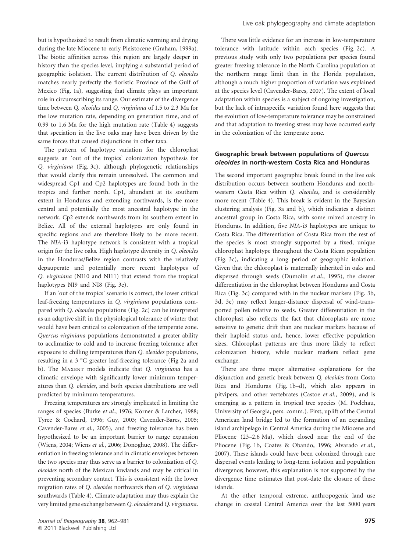but is hypothesized to result from climatic warming and drying during the late Miocene to early Pleistocene (Graham, 1999a). The biotic affinities across this region are largely deeper in history than the species level, implying a substantial period of geographic isolation. The current distribution of Q. oleoides matches nearly perfectly the floristic Province of the Gulf of Mexico (Fig. 1a), suggesting that climate plays an important role in circumscribing its range. Our estimate of the divergence time between Q. oleoides and Q. virginiana of 1.5 to 2.3 Ma for the low mutation rate, depending on generation time, and of 0.99 to 1.6 Ma for the high mutation rate (Table 4) suggests that speciation in the live oaks may have been driven by the same forces that caused disjunctions in other taxa.

The pattern of haplotype variation for the chloroplast suggests an 'out of the tropics' colonization hypothesis for Q. virginiana (Fig. 3c), although phylogenetic relationships that would clarify this remain unresolved. The common and widespread Cp1 and Cp2 haplotypes are found both in the tropics and further north. Cp1, abundant at its southern extent in Honduras and extending northwards, is the more central and potentially the most ancestral haplotype in the network. Cp2 extends northwards from its southern extent in Belize. All of the external haplotypes are only found in specific regions and are therefore likely to be more recent. The NIA-i3 haplotype network is consistent with a tropical origin for the live oaks. High haplotype diversity in Q. oleoides in the Honduras/Belize region contrasts with the relatively depauperate and potentially more recent haplotypes of Q. virginiana (NI10 and NI11) that extend from the tropical haplotypes NI9 and NI8 (Fig. 3e).

If an 'out of the tropics' scenario is correct, the lower critical leaf-freezing temperatures in Q. virginiana populations compared with Q. oleoides populations (Fig. 2c) can be interpreted as an adaptive shift in the physiological tolerance of winter that would have been critical to colonization of the temperate zone. Quercus virginiana populations demonstrated a greater ability to acclimatize to cold and to increase freezing tolerance after exposure to chilling temperatures than Q. oleoides populations, resulting in a 3 °C greater leaf-freezing tolerance (Fig 2a and b). The MAXENT models indicate that Q. virginiana has a climatic envelope with significantly lower minimum temperatures than Q. oleoides, and both species distributions are well predicted by minimum temperatures.

Freezing temperatures are strongly implicated in limiting the ranges of species (Burke et al., 1976; Körner & Larcher, 1988; Tyree & Cochard, 1996; Guy, 2003; Cavender-Bares, 2005; Cavender-Bares et al., 2005), and freezing tolerance has been hypothesized to be an important barrier to range expansion (Wiens, 2004; Wiens et al., 2006; Donoghue, 2008). The differentiation in freezing tolerance and in climatic envelopes between the two species may thus serve as a barrier to colonization of Q. oleoides north of the Mexican lowlands and may be critical in preventing secondary contact. This is consistent with the lower migration rates of Q. oleoides northwards than of Q. virginiana southwards (Table 4). Climate adaptation may thus explain the very limited gene exchange between Q. oleoides and Q. virginiana.

There was little evidence for an increase in low-temperature tolerance with latitude within each species (Fig. 2c). A previous study with only two populations per species found greater freezing tolerance in the North Carolina population at the northern range limit than in the Florida population, although a much higher proportion of variation was explained at the species level (Cavender-Bares, 2007). The extent of local adaptation within species is a subject of ongoing investigation, but the lack of intraspecific variation found here suggests that the evolution of low-temperature tolerance may be constrained and that adaptation to freezing stress may have occurred early in the colonization of the temperate zone.

# Geographic break between populations of Quercus oleoides in north-western Costa Rica and Honduras

The second important geographic break found in the live oak distribution occurs between southern Honduras and northwestern Costa Rica within Q. oleoides, and is considerably more recent (Table 4). This break is evident in the Bayesian clustering analysis (Fig. 3a and b), which indicates a distinct ancestral group in Costa Rica, with some mixed ancestry in Honduras. In addition, five NIA-i3 haplotypes are unique to Costa Rica. The differentiation of Costa Rica from the rest of the species is most strongly supported by a fixed, unique chloroplast haplotype throughout the Costa Rican population (Fig. 3c), indicating a long period of geographic isolation. Given that the chloroplast is maternally inherited in oaks and dispersed through seeds (Dumolin et al., 1995), the clearer differentiation in the chloroplast between Honduras and Costa Rica (Fig. 3c) compared with in the nuclear markers (Fig. 3b, 3d, 3e) may reflect longer-distance dispersal of wind-transported pollen relative to seeds. Greater differentiation in the chloroplast also reflects the fact that chloroplasts are more sensitive to genetic drift than are nuclear markers because of their haploid status and, hence, lower effective population sizes. Chloroplast patterns are thus more likely to reflect colonization history, while nuclear markers reflect gene exchange.

There are three major alternative explanations for the disjunction and genetic break between Q. oleoides from Costa Rica and Honduras (Fig. 1b–d), which also appears in pitvipers, and other vertebrates (Castoe et al., 2009), and is emerging as a pattern in tropical tree species (M. Poelchau, University of Georgia, pers. comm.). First, uplift of the Central American land bridge led to the formation of an expanding island archipelago in Central America during the Miocene and Pliocene (23–2.6 Ma), which closed near the end of the Pliocene (Fig. 1b, Coates & Obando, 1996; Alvarado et al., 2007). These islands could have been colonized through rare dispersal events leading to long-term isolation and population divergence; however, this explanation is not supported by the divergence time estimates that post-date the closure of these islands.

At the other temporal extreme, anthropogenic land use change in coastal Central America over the last 5000 years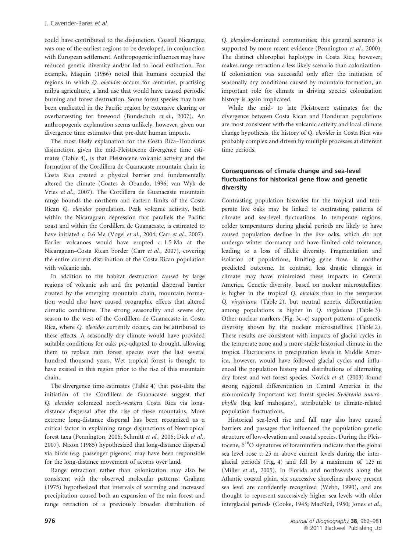could have contributed to the disjunction. Coastal Nicaragua was one of the earliest regions to be developed, in conjunction with European settlement. Anthropogenic influences may have reduced genetic diversity and/or led to local extinction. For example, Maquin (1966) noted that humans occupied the regions in which Q. oleoides occurs for centuries, practising milpa agriculture, a land use that would have caused periodic burning and forest destruction. Some forest species may have been eradicated in the Pacific region by extensive clearing or overharvesting for firewood (Bundschuh et al., 2007). An anthropogenic explanation seems unlikely, however, given our divergence time estimates that pre-date human impacts.

The most likely explanation for the Costa Rica–Honduras disjunction, given the mid-Pleistocene divergence time estimates (Table 4), is that Pleistocene volcanic activity and the formation of the Cordillera de Guanacaste mountain chain in Costa Rica created a physical barrier and fundamentally altered the climate (Coates & Obando, 1996; van Wyk de Vries et al., 2007). The Cordillera de Guanacaste mountain range bounds the northern and eastern limits of the Costa Rican Q. oleoides population. Peak volcanic activity, both within the Nicaraguan depression that parallels the Pacific coast and within the Cordillera de Guanacaste, is estimated to have initiated c. 0.6 Ma (Vogel et al., 2004; Carr et al., 2007). Earlier volcanoes would have erupted  $c$ . 1.5 Ma at the Nicaraguan–Costa Rican border (Carr et al., 2007), covering the entire current distribution of the Costa Rican population with volcanic ash.

In addition to the habitat destruction caused by large regions of volcanic ash and the potential dispersal barrier created by the emerging mountain chain, mountain formation would also have caused orographic effects that altered climatic conditions. The strong seasonality and severe dry season to the west of the Cordillera de Guanacaste in Costa Rica, where Q. oleoides currently occurs, can be attributed to these effects. A seasonally dry climate would have provided suitable conditions for oaks pre-adapted to drought, allowing them to replace rain forest species over the last several hundred thousand years. Wet tropical forest is thought to have existed in this region prior to the rise of this mountain chain.

The divergence time estimates (Table 4) that post-date the initiation of the Cordillera de Guanacaste suggest that Q. oleoides colonized north-western Costa Rica via longdistance dispersal after the rise of these mountains. More extreme long-distance dispersal has been recognized as a critical factor in explaining range disjunctions of Neotropical forest taxa (Pennington, 2006; Schmitt et al., 2006; Dick et al., 2007). Nixon (1985) hypothesized that long-distance dispersal via birds (e.g. passenger pigeons) may have been responsible for the long-distance movement of acorns over land.

Range retraction rather than colonization may also be consistent with the observed molecular patterns. Graham (1975) hypothesized that intervals of warming and increased precipitation caused both an expansion of the rain forest and range retraction of a previously broader distribution of

While the mid- to late Pleistocene estimates for the divergence between Costa Rican and Honduran populations are most consistent with the volcanic activity and local climate change hypothesis, the history of Q. oleoides in Costa Rica was probably complex and driven by multiple processes at different time periods.

# Consequences of climate change and sea-level fluctuations for historical gene flow and genetic diversity

Contrasting population histories for the tropical and temperate live oaks may be linked to contrasting patterns of climate and sea-level fluctuations. In temperate regions, colder temperatures during glacial periods are likely to have caused population decline in the live oaks, which do not undergo winter dormancy and have limited cold tolerance, leading to a loss of allelic diversity. Fragmentation and isolation of populations, limiting gene flow, is another predicted outcome. In contrast, less drastic changes in climate may have minimized these impacts in Central America. Genetic diversity, based on nuclear microsatellites, is higher in the tropical Q. oleoides than in the temperate Q. virginiana (Table 2), but neutral genetic differentiation among populations is higher in Q. virginiana (Table 3). Other nuclear markers (Fig. 3c–e) support patterns of genetic diversity shown by the nuclear microsatellites (Table 2). These results are consistent with impacts of glacial cycles in the temperate zone and a more stable historical climate in the tropics. Fluctuations in precipitation levels in Middle America, however, would have followed glacial cycles and influenced the population history and distributions of alternating dry forest and wet forest species. Novick et al. (2003) found strong regional differentiation in Central America in the economically important wet forest species Swietenia macrophylla (big leaf mahogany), attributable to climate-related population fluctuations.

Historical sea-level rise and fall may also have caused barriers and passages that influenced the population genetic structure of low-elevation and coastal species. During the Pleistocene,  $\delta^{18}$ O signatures of foraminifera indicate that the global sea level rose c. 25 m above current levels during the interglacial periods (Fig. 4) and fell by a maximum of 125 m (Miller et al., 2005). In Florida and northwards along the Atlantic coastal plain, six successive shorelines above present sea level are confidently recognized (Webb, 1990), and are thought to represent successively higher sea levels with older interglacial periods (Cooke, 1945; MacNeil, 1950; Jones et al.,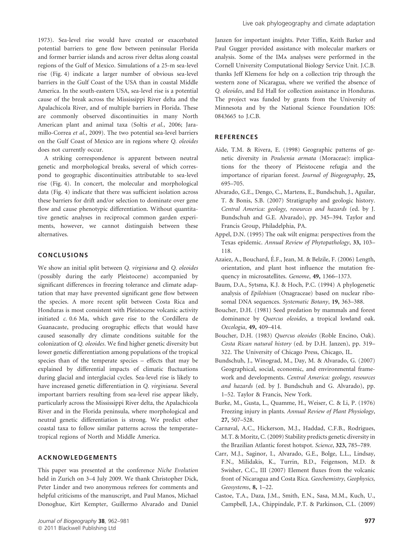1973). Sea-level rise would have created or exacerbated potential barriers to gene flow between peninsular Florida and former barrier islands and across river deltas along coastal regions of the Gulf of Mexico. Simulations of a 25-m sea-level rise (Fig. 4) indicate a larger number of obvious sea-level barriers in the Gulf Coast of the USA than in coastal Middle America. In the south-eastern USA, sea-level rise is a potential cause of the break across the Mississippi River delta and the Apalachicola River, and of multiple barriers in Florida. These are commonly observed discontinuities in many North American plant and animal taxa (Soltis et al., 2006; Jaramillo-Correa et al., 2009). The two potential sea-level barriers on the Gulf Coast of Mexico are in regions where Q. oleoides does not currently occur.

A striking correspondence is apparent between neutral genetic and morphological breaks, several of which correspond to geographic discontinuities attributable to sea-level rise (Fig. 4). In concert, the molecular and morphological data (Fig. 4) indicate that there was sufficient isolation across these barriers for drift and/or selection to dominate over gene flow and cause phenotypic differentiation. Without quantitative genetic analyses in reciprocal common garden experiments, however, we cannot distinguish between these alternatives.

#### CONCLUSIONS

We show an initial split between Q. virginiana and Q. oleoides (possibly during the early Pleistocene) accompanied by significant differences in freezing tolerance and climate adaptation that may have prevented significant gene flow between the species. A more recent split between Costa Rica and Honduras is most consistent with Pleistocene volcanic activity initiated c. 0.6 Ma, which gave rise to the Cordillera de Guanacaste, producing orographic effects that would have caused seasonally dry climate conditions suitable for the colonization of Q. oleoides. We find higher genetic diversity but lower genetic differentiation among populations of the tropical species than of the temperate species – effects that may be explained by differential impacts of climatic fluctuations during glacial and interglacial cycles. Sea-level rise is likely to have increased genetic differentiation in Q. virginiana. Several important barriers resulting from sea-level rise appear likely, particularly across the Mississippi River delta, the Apalachicola River and in the Florida peninsula, where morphological and neutral genetic differentiation is strong. We predict other coastal taxa to follow similar patterns across the temperate– tropical regions of North and Middle America.

# ACKNOWLEDGEMENTS

This paper was presented at the conference Niche Evolution held in Zurich on 3–4 July 2009. We thank Christopher Dick, Peter Linder and two anonymous referees for comments and helpful criticisms of the manuscript, and Paul Manos, Michael Donoghue, Kirt Kempter, Guillermo Alvarado and Daniel

Janzen for important insights. Peter Tiffin, Keith Barker and Paul Gugger provided assistance with molecular markers or analysis. Some of the IMa analyses were performed in the Cornell University Computational Biology Service Unit. J.C.B. thanks Jeff Klemens for help on a collection trip through the western zone of Nicaragua, where we verified the absence of Q. oleoides, and Ed Hall for collection assistance in Honduras. The project was funded by grants from the University of Minnesota and by the National Science Foundation IOS: 0843665 to J.C.B.

#### **REFERENCES**

- Aide, T.M. & Rivera, E. (1998) Geographic patterns of genetic diversity in Poulsenia armata (Moraceae): implications for the theory of Pleistocene refugia and the importance of riparian forest. Journal of Biogeography, 25, 695–705.
- Alvarado, G.E., Dengo, C., Martens, E., Bundschuh, J., Aguilar, T. & Bonis, S.B. (2007) Stratigraphy and geologic history. Central America: geology, resources and hazards (ed. by J. Bundschuh and G.E. Alvarado), pp. 345–394. Taylor and Francis Group, Philadelphia, PA.
- Appel, D.N. (1995) The oak wilt enigma: perspectives from the Texas epidemic. Annual Review of Phytopathology, 33, 103– 118.
- Azaiez, A., Bouchard, É.F., Jean, M. & Belzile, F. (2006) Length, orientation, and plant host influence the mutation frequency in microsatellites. Genome, 49, 1366–1373.
- Baum, D.A., Sytsma, K.J. & Hoch, P.C. (1994) A phylogenetic analysis of Epilobium (Onagraceae) based on nuclear ribosomal DNA sequences. Systematic Botany, 19, 363–388.
- Boucher, D.H. (1981) Seed predation by mammals and forest dominance by Quercus oleoides, a tropical lowland oak. Oecologia, 49, 409–414.
- Boucher, D.H. (1983) Quercus oleoides (Roble Encino, Oak). Costa Rican natural history (ed. by D.H. Janzen), pp. 319– 322. The University of Chicago Press, Chicago, IL.
- Bundschuh, J., Winograd, M., Day, M. & Alvarado, G. (2007) Geographical, social, economic, and environmental framework and developments. Central America: geology, resources and hazards (ed. by J. Bundschuh and G. Alvarado), pp. 1–52. Taylor & Francis, New York.
- Burke, M., Gusta, L., Quamme, H., Weiser, C. & Li, P. (1976) Freezing injury in plants. Annual Review of Plant Physiology, 27, 507–528.
- Carnaval, A.C., Hickerson, M.J., Haddad, C.F.B., Rodrigues, M.T. & Moritz, C. (2009) Stability predicts genetic diversity in the Brazilian Atlantic forest hotspot. Science, 323, 785–789.
- Carr, M.J., Saginor, I., Alvarado, G.E., Bolge, L.L., Lindsay, F.N., Milidakis, K., Turrin, B.D., Feigenson, M.D. & Swisher, C.C., III (2007) Element fluxes from the volcanic front of Nicaragua and Costa Rica. Geochemistry, Geophysics, Geosystems, 8, 1–22.
- Castoe, T.A., Daza, J.M., Smith, E.N., Sasa, M.M., Kuch, U., Campbell, J.A., Chippindale, P.T. & Parkinson, C.L. (2009)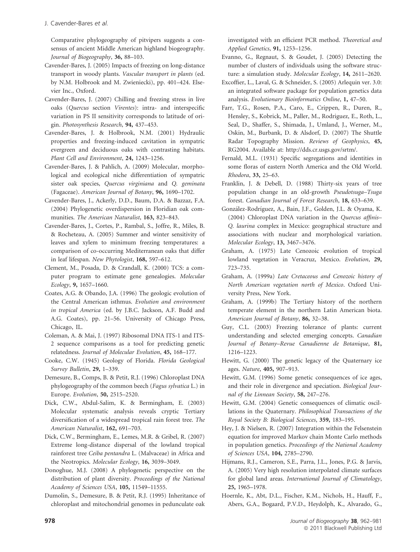Comparative phylogeography of pitvipers suggests a consensus of ancient Middle American highland biogeography. Journal of Biogeography, 36, 88–103.

- Cavender-Bares, J. (2005) Impacts of freezing on long-distance transport in woody plants. Vascular transport in plants (ed. by N.M. Holbrook and M. Zwieniecki), pp. 401–424. Elsevier Inc., Oxford.
- Cavender-Bares, J. (2007) Chilling and freezing stress in live oaks (Quercus section Virentes): intra- and interspecific variation in PS II sensitivity corresponds to latitude of origin. Photosynthesis Research, 94, 437–453.
- Cavender-Bares, J. & Holbrook, N.M. (2001) Hydraulic properties and freezing-induced cavitation in sympatric evergreen and deciduous oaks with contrasting habitats. Plant Cell and Environment, 24, 1243–1256.
- Cavender-Bares, J. & Pahlich, A. (2009) Molecular, morphological and ecological niche differentiation of sympatric sister oak species, Quercus virginiana and Q. geminata (Fagaceae). American Journal of Botany, 96, 1690–1702.
- Cavender-Bares, J., Ackerly, D.D., Baum, D.A. & Bazzaz, F.A. (2004) Phylogenetic overdispersion in Floridian oak communities. The American Naturalist, 163, 823–843.
- Cavender-Bares, J., Cortes, P., Rambal, S., Joffre, R., Miles, B. & Rocheteau, A. (2005) Summer and winter sensitivity of leaves and xylem to minimum freezing temperatures: a comparison of co-occurring Mediterranean oaks that differ in leaf lifespan. New Phytologist, 168, 597–612.
- Clement, M., Posada, D. & Crandall, K. (2000) TCS: a computer program to estimate gene genealogies. Molecular Ecology, 9, 1657–1660.
- Coates, A.G. & Obando, J.A. (1996) The geologic evolution of the Central American isthmus. Evolution and environment in tropical America (ed. by J.B.C. Jackson, A.F. Budd and A.G. Coates), pp. 21–56. University of Chicago Press, Chicago, IL.
- Coleman, A. & Mai, J. (1997) Ribosomal DNA ITS-1 and ITS-2 sequence comparisons as a tool for predicting genetic relatedness. Journal of Molecular Evolution, 45, 168–177.
- Cooke, C.W. (1945) Geology of Florida. Florida Geological Survey Bulletin, 29, 1–339.
- Demesure, B., Comps, B. & Petit, R.J. (1996) Chloroplast DNA phylogeography of the common beech (Fagus sylvatica L.) in Europe. Evolution, 50, 2515–2520.
- Dick, C.W., Abdul-Salim, K. & Bermingham, E. (2003) Molecular systematic analysis reveals cryptic Tertiary diversification of a widespread tropical rain forest tree. The American Naturalist, 162, 691–703.
- Dick, C.W., Bermingham, E., Lemes, M.R. & Gribel, R. (2007) Extreme long-distance dispersal of the lowland tropical rainforest tree Ceiba pentandra L. (Malvaceae) in Africa and the Neotropics. Molecular Ecology, 16, 3039–3049.
- Donoghue, M.J. (2008) A phylogenetic perspective on the distribution of plant diversity. Proceedings of the National Academy of Sciences USA, 105, 11549–11555.
- Dumolin, S., Demesure, B. & Petit, R.J. (1995) Inheritance of chloroplast and mitochondrial genomes in pedunculate oak

investigated with an efficient PCR method. Theoretical and Applied Genetics, 91, 1253–1256.

- Evanno, G., Regnaut, S. & Goudet, J. (2005) Detecting the number of clusters of individuals using the software structure: a simulation study. Molecular Ecology, 14, 2611–2620.
- Excoffier, L., Laval, G. & Schneider, S. (2005) Arlequin ver. 3.0: an integrated software package for population genetics data analysis. Evolutionary Bioinformatics Online, 1, 47–50.
- Farr, T.G., Rosen, P.A., Caro, E., Crippen, R., Duren, R., Hensley, S., Kobrick, M., Paller, M., Rodriguez, E., Roth, L., Seal, D., Shaffer, S., Shimada, J., Umland, J., Werner, M., Oskin, M., Burbank, D. & Alsdorf, D. (2007) The Shuttle Radar Topography Mission. Reviews of Geophysics, 45, RG2004. Available at: http://dds.cr.usgs.gov/srtm/.
- Fernald, M.L. (1931) Specific segregations and identities in some floras of eastern North America and the Old World. Rhodora, 33, 25–63.
- Franklin, J. & Debell, D. (1988) Thirty-six years of tree population change in an old-growth Pseudotsuga–Tsuga forest. Canadian Journal of Forest Research, 18, 633–639.
- González-Rodríguez, A., Bain, J.F., Golden, J.L. & Oyama, K. (2004) Chloroplast DNA variation in the Quercus affinis– Q. laurina complex in Mexico: geographical structure and associations with nuclear and morphological variation. Molecular Ecology, 13, 3467–3476.
- Graham, A. (1975) Late Cenozoic evolution of tropical lowland vegetation in Veracruz, Mexico. Evolution, 29, 723–735.
- Graham, A. (1999a) Late Cretaceous and Cenozoic history of North American vegetation north of Mexico. Oxford University Press, New York.
- Graham, A. (1999b) The Tertiary history of the northern temperate element in the northern Latin American biota. American Journal of Botany, 86, 32–38.
- Guy, C.L. (2003) Freezing tolerance of plants: current understanding and selected emerging concepts. Canadian Journal of Botany–Revue Canadienne de Botanique, 81, 1216–1223.
- Hewitt, G. (2000) The genetic legacy of the Quaternary ice ages. Nature, 405, 907–913.
- Hewitt, G.M. (1996) Some genetic consequences of ice ages, and their role in divergence and speciation. Biological Journal of the Linnean Society, 58, 247–276.
- Hewitt, G.M. (2004) Genetic consequences of climatic oscillations in the Quaternary. Philosophical Transactions of the Royal Society B: Biological Sciences, 359, 183–195.
- Hey, J. & Nielsen, R. (2007) Integration within the Felsenstein equation for improved Markov chain Monte Carlo methods in population genetics. Proceedings of the National Academy of Sciences USA, 104, 2785–2790.
- Hijmans, R.J., Cameron, S.E., Parra, J.L., Jones, P.G. & Jarvis, A. (2005) Very high resolution interpolated climate surfaces for global land areas. International Journal of Climatology, 25, 1965–1978.
- Hoernle, K., Abt, D.L., Fischer, K.M., Nichols, H., Hauff, F., Abers, G.A., Bogaard, P.V.D., Heydolph, K., Alvarado, G.,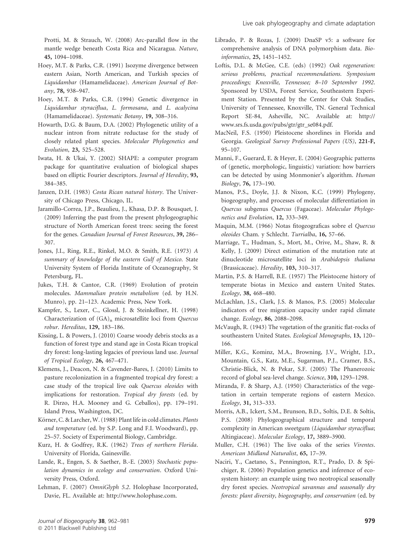Protti, M. & Strauch, W. (2008) Arc-parallel flow in the mantle wedge beneath Costa Rica and Nicaragua. Nature, 45, 1094–1098.

- Hoey, M.T. & Parks, C.R. (1991) Isozyme divergence between eastern Asian, North American, and Turkish species of Liquidambar (Hamamelidaceae). American Journal of Botany, 78, 938–947.
- Hoey, M.T. & Parks, C.R. (1994) Genetic divergence in Liquidambar styraciflua, L. formosana, and L. acalycina (Hamamelidaceae). Systematic Botany, 19, 308–316.
- Howarth, D.G. & Baum, D.A. (2002) Phylogenetic utility of a nuclear intron from nitrate reductase for the study of closely related plant species. Molecular Phylogenetics and Evolution, 23, 525–528.
- Iwata, H. & Ukai, Y. (2002) SHAPE: a computer program package for quantitative evaluation of biological shapes based on elliptic Fourier descriptors. Journal of Heredity, 93, 384–385.
- Janzen, D.H. (1983) Costa Rican natural history. The University of Chicago Press, Chicago, IL.
- Jaramillo-Correa, J.P., Beaulieu, J., Khasa, D.P. & Bousquet, J. (2009) Inferring the past from the present phylogeographic structure of North American forest trees: seeing the forest for the genes. Canadian Journal of Forest Resources, 39, 286– 307.
- Jones, J.I., Ring, R.E., Rinkel, M.O. & Smith, R.E. (1973) A summary of knowledge of the eastern Gulf of Mexico. State University System of Florida Institute of Oceanography, St Petersburg, FL.
- Jukes, T.H. & Cantor, C.R. (1969) Evolution of protein molecules. Mammalian protein metabolism (ed. by H.N. Munro), pp. 21–123. Academic Press, New York.
- Kampfer, S., Lexer, C., Glossl, J. & Steinkellner, H. (1998) Characterization of  $(GA)_n$  microsatellite loci from Quercus robur. Hereditas, 129, 183–186.
- Kissing, L. & Powers, J. (2010) Coarse woody debris stocks as a function of forest type and stand age in Costa Rican tropical dry forest: long-lasting legacies of previous land use. Journal of Tropical Ecology, 26, 467–471.
- Klemens, J., Deacon, N. & Cavender-Bares, J. (2010) Limits to pasture recolonization in a fragmented tropical dry forest: a case study of the tropical live oak Quercus oleoides with implications for restoration. Tropical dry forests (ed. by R. Dirzo, H.A. Mooney and G. Ceballos), pp. 179–191. Island Press, Washington, DC.
- Körner, C. & Larcher, W. (1988) Plant life in cold climates. Plants and temperature (ed. by S.P. Long and F.I. Woodward), pp. 25–57. Society of Experimental Biology, Cambridge.
- Kurz, H. & Godfrey, R.K. (1962) Trees of northern Florida. University of Florida, Gainesville.
- Lande, R., Engen, S. & Saether, B.-E. (2003) Stochastic population dynamics in ecology and conservation. Oxford University Press, Oxford.
- Lehman, F. (2007) OmniGlyph 5.2. Holophase Incorporated, Davie, FL. Available at: http://www.holophase.com.
- Librado, P. & Rozas, J. (2009) DnaSP v5: a software for comprehensive analysis of DNA polymorphism data. Bioinformatics, 25, 1451–1452.
- Loftis, D.L. & McGee, C.E. (eds) (1992) Oak regeneration: serious problems, practical recommendations. Symposium proceedings; Knoxville, Tennessee; 8–10 September 1992. Sponsored by USDA, Forest Service, Southeastern Experiment Station. Presented by the Center for Oak Studies, University of Tennessee, Knoxville, TN. General Technical Report SE-84, Asheville, NC. Available at: http:// www.srs.fs.usda.gov/pubs/gtr/gtr\_se084.pdf.
- MacNeil, F.S. (1950) Pleistocene shorelines in Florida and Georgia. Geological Survey Professional Papers (US), 221-F, 95–107.
- Manni, F., Guerard, E. & Heyer, E. (2004) Geographic patterns of (genetic, morphologic, linguistic) variation: how barriers can be detected by using Monmonier's algorithm. Human Biology, 76, 173–190.
- Manos, P.S., Doyle, J.J. & Nixon, K.C. (1999) Phylogeny, biogeography, and processes of molecular differentiation in Quercus subgenus Quercus (Fagaceae). Molecular Phylogenetics and Evolution, 12, 333–349.
- Maquin, M.M. (1966) Notas fitogeograficas sobre el Quercus oleoides Cham. y Schlecht. Turrialba, 16, 57–66.
- Marriage, T., Hudman, S., Mort, M., Orive, M., Shaw, R. & Kelly, J. (2009) Direct estimation of the mutation rate at dinucleotide microsatellite loci in Arabidopsis thaliana (Brassicaceae). Heredity, 103, 310–317.
- Martin, P.S. & Harrell, B.E. (1957) The Pleistocene history of temperate biotas in Mexico and eastern United States. Ecology, 38, 468–480.
- McLachlan, J.S., Clark, J.S. & Manos, P.S. (2005) Molecular indicators of tree migration capacity under rapid climate change. Ecology, 86, 2088–2098.
- McVaugh, R. (1943) The vegetation of the granitic flat-rocks of southeastern United States. Ecological Monographs, 13, 120– 166.
- Miller, K.G., Kominz, M.A., Browning, J.V., Wright, J.D., Mountain, G.S., Katz, M.E., Sugarman, P.J., Cramer, B.S., Christie-Blick, N. & Pekar, S.F. (2005) The Phanerozoic record of global sea-level change. Science, 310, 1293–1298.
- Miranda, F. & Sharp, A.J. (1950) Characteristics of the vegetation in certain temperate regions of eastern Mexico. Ecology, 31, 313–333.
- Morris, A.B., Ickert, S.M., Brunson, B.D., Soltis, D.E. & Soltis, P.S. (2008) Phylogeographical structure and temporal complexity in American sweetgum (Liquidambar styraciflua; Altingiaceae). Molecular Ecology, 17, 3889–3900.
- Muller, C.H. (1961) The live oaks of the series Virentes. American Midland Naturalist, 65, 17–39.
- Naciri, Y., Caetano, S., Pennington, R.T., Prado, D. & Spichiger, R. (2006) Population genetics and inference of ecosystem history: an example using two neotropical seasonally dry forest species. Neotropical savannas and seasonally dry forests: plant diversity, biogeography, and conservation (ed. by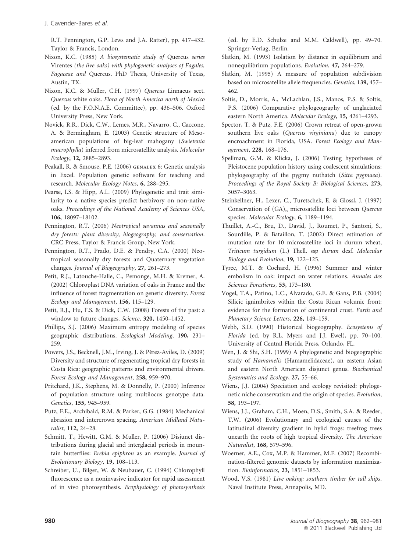R.T. Pennington, G.P. Lews and J.A. Ratter), pp. 417–432. Taylor & Francis, London.

- Nixon, K.C. (1985) A biosystematic study of Quercus series Virentes (the live oaks) with phylogenetic analyses of Fagales, Fagaceae and Quercus. PhD Thesis, University of Texas, Austin, TX.
- Nixon, K.C. & Muller, C.H. (1997) Quercus Linnaeus sect. Quercus white oaks. Flora of North America north of Mexico (ed. by the F.O.N.A.E. Committee), pp. 436–506. Oxford University Press, New York.
- Novick, R.R., Dick, C.W., Lemes, M.R., Navarro, C., Caccone, A. & Bermingham, E. (2003) Genetic structure of Mesoamerican populations of big-leaf mahogany (Swietenia macrophylla) inferred from microsatellite analysis. Molecular Ecology, 12, 2885–2893.
- Peakall, R. & Smouse, P.E. (2006) GENALEX 6: Genetic analysis in Excel. Population genetic software for teaching and research. Molecular Ecology Notes, 6, 288–295.
- Pearse, I.S. & Hipp, A.L. (2009) Phylogenetic and trait similarity to a native species predict herbivory on non-native oaks. Proceedings of the National Academy of Sciences USA, 106, 18097–18102.
- Pennington, R.T. (2006) Neotropical savannas and seasonally dry forests: plant diversity, biogeography, and conservation. CRC Press, Taylor & Francis Group, New York.
- Pennington, R.T., Prado, D.E. & Pendry, C.A. (2000) Neotropical seasonally dry forests and Quaternary vegetation changes. Journal of Biogeography, 27, 261–273.
- Petit, R.J., Latouche-Halle, C., Pemonge, M.H. & Kremer, A. (2002) Chloroplast DNA variation of oaks in France and the influence of forest fragmentation on genetic diversity. Forest Ecology and Management, 156, 115–129.
- Petit, R.J., Hu, F.S. & Dick, C.W. (2008) Forests of the past: a window to future changes. Science, 320, 1450–1452.
- Phillips, S.J. (2006) Maximum entropy modeling of species geographic distributions. Ecological Modeling, 190, 231– 259.
- Powers, J.S., Becknell, J.M., Irving, J. & Pérez-Aviles, D. (2009) Diversity and structure of regenerating tropical dry forests in Costa Rica: geographic patterns and environmental drivers. Forest Ecology and Management, 258, 959–970.
- Pritchard, J.K., Stephens, M. & Donnelly, P. (2000) Inference of population structure using multilocus genotype data. Genetics, 155, 945–959.
- Putz, F.E., Archibald, R.M. & Parker, G.G. (1984) Mechanical abrasion and intercrown spacing. American Midland Naturalist, 112, 24–28.
- Schmitt, T., Hewitt, G.M. & Muller, P. (2006) Disjunct distributions during glacial and interglacial periods in mountain butterflies: Erebia epiphron as an example. Journal of Evolutionary Biology, 19, 108–113.
- Schreiber, U., Bilger, W. & Neubauer, C. (1994) Chlorophyll fluorescence as a noninvasive indicator for rapid assessment of in vivo photosynthesis. Ecophysiology of photosynthesis

(ed. by E.D. Schulze and M.M. Caldwell), pp. 49–70. Springer-Verlag, Berlin.

- Slatkin, M. (1993) Isolation by distance in equilibrium and nonequilibrium populations. Evolution, 47, 264–279.
- Slatkin, M. (1995) A measure of population subdivision based on microsatellite allele frequencies. Genetics, 139, 457– 462.
- Soltis, D., Morris, A., McLachlan, J.S., Manos, P.S. & Soltis, P.S. (2006) Comparative phylogeography of unglaciated eastern North America. Molecular Ecology, 15, 4261–4293.
- Spector, T. & Putz, F.E. (2006) Crown retreat of open-grown southern live oaks (Quercus virginiana) due to canopy encroachment in Florida, USA. Forest Ecology and Management, 228, 168–176.
- Spellman, G.M. & Klicka, J. (2006) Testing hypotheses of Pleistocene population history using coalescent simulations: phylogeography of the pygmy nuthatch (Sitta pygmaea). Proceedings of the Royal Society B: Biological Sciences, 273, 3057–3063.
- Steinkellner, H., Lexer, C., Turetschek, E. & Glossl, J. (1997) Conservation of  $(GA)$ <sub>n</sub> microsatellite loci between Quercus species. Molecular Ecology, 6, 1189-1194.
- Thuillet, A.-C., Bru, D., David, J., Roumet, P., Santoni, S., Sourdille, P. & Bataillon, T. (2002) Direct estimation of mutation rate for 10 microsatellite loci in durum wheat, Triticum turgidum (L.) Thell. ssp durum desf. Molecular Biology and Evolution, 19, 122–125.
- Tyree, M.T. & Cochard, H. (1996) Summer and winter embolism in oak: impact on water relations. Annales des Sciences Forestieres, 53, 173–180.
- Vogel, T.A., Patino, L.C., Alvarado, G.E. & Gans, P.B. (2004) Silicic ignimbrites within the Costa Rican volcanic front: evidence for the formation of continental crust. Earth and Planetary Science Letters, 226, 149–159.
- Webb, S.D. (1990) Historical biogeography. Ecosystems of Florida (ed. by R.L. Myers and J.J. Ewel), pp. 70–100. University of Central Florida Press, Orlando, FL.
- Wen, J. & Shi, S.H. (1999) A phylogenetic and biogeographic study of Hamamelis (Hamamelidaceae), an eastern Asian and eastern North American disjunct genus. Biochemical Systematics and Ecology, 27, 55–66.
- Wiens, J.J. (2004) Speciation and ecology revisited: phylogenetic niche conservatism and the origin of species. Evolution, 58, 193–197.
- Wiens, J.J., Graham, C.H., Moen, D.S., Smith, S.A. & Reeder, T.W. (2006) Evolutionary and ecological causes of the latitudinal diversity gradient in hylid frogs: treefrog trees unearth the roots of high tropical diversity. The American Naturalist, 168, 579–596.
- Woerner, A.E., Cox, M.P. & Hammer, M.F. (2007) Recombination-filtered genomic datasets by information maximization. Bioinformatics, 23, 1851–1853.
- Wood, V.S. (1981) Live oaking: southern timber for tall ships. Naval Institute Press, Annapolis, MD.